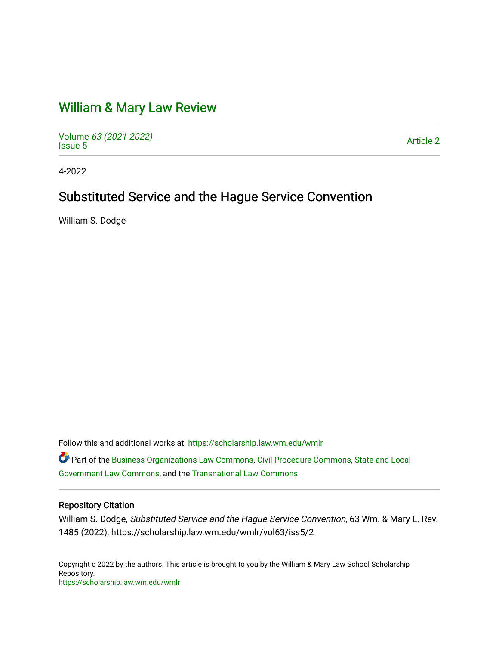## [William & Mary Law Review](https://scholarship.law.wm.edu/wmlr)

Volume [63 \(2021-2022\)](https://scholarship.law.wm.edu/wmlr/vol63)  volume os (2027-2022)<br>[Issue 5](https://scholarship.law.wm.edu/wmlr/vol63/iss5)

4-2022

# Substituted Service and the Hague Service Convention

William S. Dodge

Follow this and additional works at: [https://scholarship.law.wm.edu/wmlr](https://scholarship.law.wm.edu/wmlr?utm_source=scholarship.law.wm.edu%2Fwmlr%2Fvol63%2Fiss5%2F2&utm_medium=PDF&utm_campaign=PDFCoverPages)

Part of the [Business Organizations Law Commons](https://network.bepress.com/hgg/discipline/900?utm_source=scholarship.law.wm.edu%2Fwmlr%2Fvol63%2Fiss5%2F2&utm_medium=PDF&utm_campaign=PDFCoverPages), [Civil Procedure Commons,](https://network.bepress.com/hgg/discipline/584?utm_source=scholarship.law.wm.edu%2Fwmlr%2Fvol63%2Fiss5%2F2&utm_medium=PDF&utm_campaign=PDFCoverPages) [State and Local](https://network.bepress.com/hgg/discipline/879?utm_source=scholarship.law.wm.edu%2Fwmlr%2Fvol63%2Fiss5%2F2&utm_medium=PDF&utm_campaign=PDFCoverPages) [Government Law Commons,](https://network.bepress.com/hgg/discipline/879?utm_source=scholarship.law.wm.edu%2Fwmlr%2Fvol63%2Fiss5%2F2&utm_medium=PDF&utm_campaign=PDFCoverPages) and the [Transnational Law Commons](https://network.bepress.com/hgg/discipline/1123?utm_source=scholarship.law.wm.edu%2Fwmlr%2Fvol63%2Fiss5%2F2&utm_medium=PDF&utm_campaign=PDFCoverPages) 

### Repository Citation

William S. Dodge, Substituted Service and the Hague Service Convention, 63 Wm. & Mary L. Rev. 1485 (2022), https://scholarship.law.wm.edu/wmlr/vol63/iss5/2

Copyright c 2022 by the authors. This article is brought to you by the William & Mary Law School Scholarship Repository. <https://scholarship.law.wm.edu/wmlr>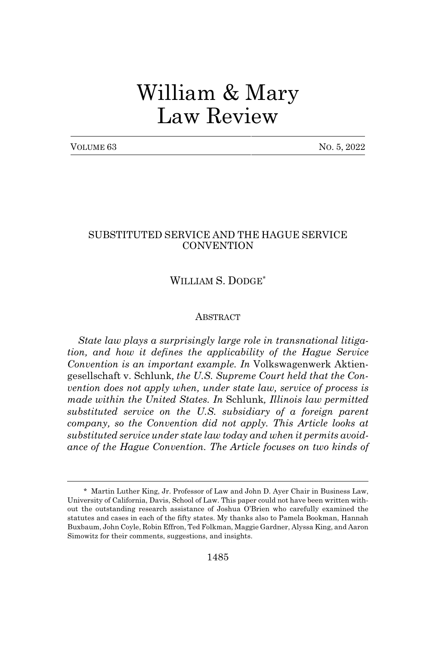# William & Mary Law Review

| VOLUME 63 |  |
|-----------|--|
|-----------|--|

No. 5, 2022

### SUBSTITUTED SERVICE AND THE HAGUE SERVICE **CONVENTION**

### WILLIAM S. DODGE<sup>\*</sup>

#### **ABSTRACT**

*State law plays a surprisingly large role in transnational litigation, and how it defines the applicability of the Hague Service Convention is an important example. In* Volkswagenwerk Aktiengesellschaft v. Schlunk*, the U.S. Supreme Court held that the Convention does not apply when, under state law, service of process is made within the United States. In* Schlunk*, Illinois law permitted substituted service on the U.S. subsidiary of a foreign parent company, so the Convention did not apply. This Article looks at substituted service under state law today and when it permits avoidance of the Hague Convention. The Article focuses on two kinds of*

<sup>\*</sup> Martin Luther King, Jr. Professor of Law and John D. Ayer Chair in Business Law, University of California, Davis, School of Law. This paper could not have been written without the outstanding research assistance of Joshua O'Brien who carefully examined the statutes and cases in each of the fifty states. My thanks also to Pamela Bookman, Hannah Buxbaum, John Coyle, Robin Effron, Ted Folkman, Maggie Gardner, Alyssa King, and Aaron Simowitz for their comments, suggestions, and insights.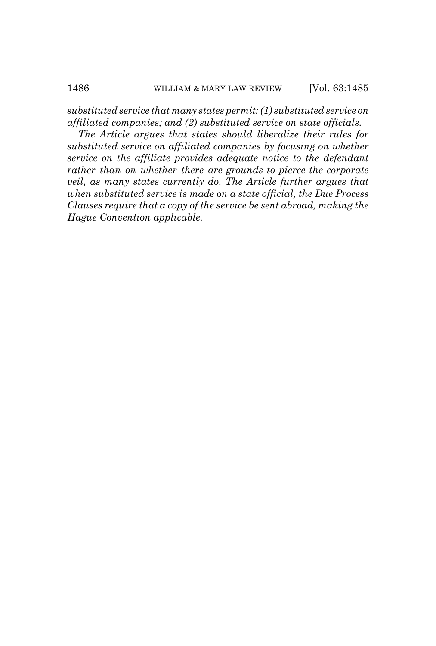*substituted service that many states permit: (1) substituted service on affiliated companies; and (2) substituted service on state officials.*

*The Article argues that states should liberalize their rules for substituted service on affiliated companies by focusing on whether service on the affiliate provides adequate notice to the defendant rather than on whether there are grounds to pierce the corporate veil, as many states currently do. The Article further argues that when substituted service is made on a state official, the Due Process Clauses require that a copy of the service be sent abroad, making the Hague Convention applicable.*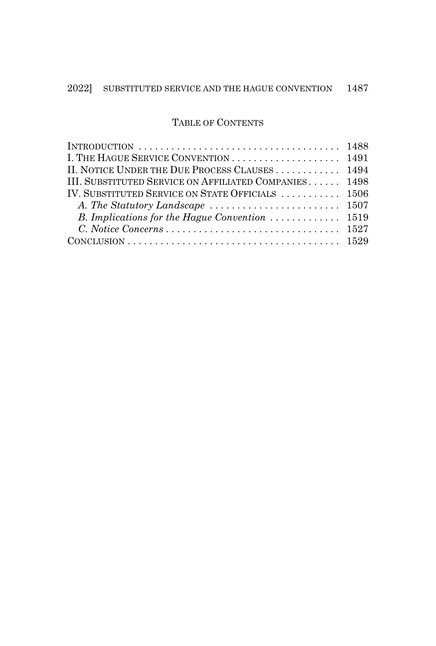### TABLE OF CONTENTS

| INTRODUCTION $\ldots \ldots \ldots \ldots \ldots \ldots \ldots \ldots \ldots \ldots \ldots \ldots 1488$ |  |
|---------------------------------------------------------------------------------------------------------|--|
|                                                                                                         |  |
| II. NOTICE UNDER THE DUE PROCESS CLAUSES 1494                                                           |  |
| III. SUBSTITUTED SERVICE ON AFFILIATED COMPANIES 1498                                                   |  |
| IV. SUBSTITUTED SERVICE ON STATE OFFICIALS  1506                                                        |  |
|                                                                                                         |  |
|                                                                                                         |  |
|                                                                                                         |  |
|                                                                                                         |  |
|                                                                                                         |  |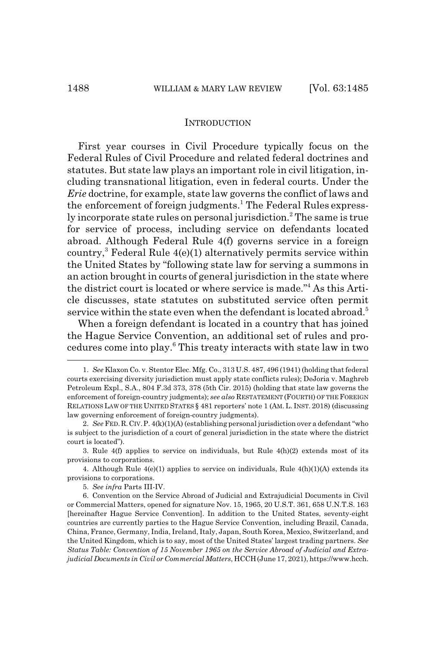#### INTRODUCTION

First year courses in Civil Procedure typically focus on the Federal Rules of Civil Procedure and related federal doctrines and statutes. But state law plays an important role in civil litigation, including transnational litigation, even in federal courts. Under the *Erie* doctrine, for example, state law governs the conflict of laws and the enforcement of foreign judgments.<sup>1</sup> The Federal Rules expressly incorporate state rules on personal jurisdiction.<sup>2</sup> The same is true for service of process, including service on defendants located abroad. Although Federal Rule 4(f) governs service in a foreign country,<sup>3</sup> Federal Rule 4(e)(1) alternatively permits service within the United States by "following state law for serving a summons in an action brought in courts of general jurisdiction in the state where the district court is located or where service is made."4 As this Article discusses, state statutes on substituted service often permit service within the state even when the defendant is located abroad.<sup>5</sup>

When a foreign defendant is located in a country that has joined the Hague Service Convention, an additional set of rules and procedures come into play.<sup>6</sup> This treaty interacts with state law in two

<sup>1.</sup> *See* Klaxon Co. v. Stentor Elec. Mfg. Co., 313 U.S. 487, 496 (1941) (holding that federal courts exercising diversity jurisdiction must apply state conflicts rules); DeJoria v. Maghreb Petroleum Expl., S.A., 804 F.3d 373, 378 (5th Cir. 2015) (holding that state law governs the enforcement of foreign-country judgments); *see also* RESTATEMENT (FOURTH) OF THE FOREIGN RELATIONS LAW OF THE UNITED STATES § 481 reporters' note 1 (AM. L. INST. 2018) (discussing law governing enforcement of foreign-country judgments).

<sup>2.</sup> *See* FED.R.CIV.P. 4(k)(1)(A) (establishing personal jurisdiction over a defendant "who is subject to the jurisdiction of a court of general jurisdiction in the state where the district court is located").

<sup>3.</sup> Rule 4(f) applies to service on individuals, but Rule 4(h)(2) extends most of its provisions to corporations.

<sup>4.</sup> Although Rule  $4(e)(1)$  applies to service on individuals, Rule  $4(h)(1)(A)$  extends its provisions to corporations.

<sup>5.</sup> *See infra* Parts III-IV.

<sup>6.</sup> Convention on the Service Abroad of Judicial and Extrajudicial Documents in Civil or Commercial Matters, opened for signature Nov. 15, 1965, 20 U.S.T. 361, 658 U.N.T.S. 163 [hereinafter Hague Service Convention]. In addition to the United States, seventy-eight countries are currently parties to the Hague Service Convention, including Brazil, Canada, China, France, Germany, India, Ireland, Italy, Japan, South Korea, Mexico, Switzerland, and the United Kingdom, which is to say, most of the United States' largest trading partners. *See Status Table: Convention of 15 November 1965 on the Service Abroad of Judicial and Extrajudicial Documents in Civil or Commercial Matters*, HCCH(June 17, 2021), https://www.hcch.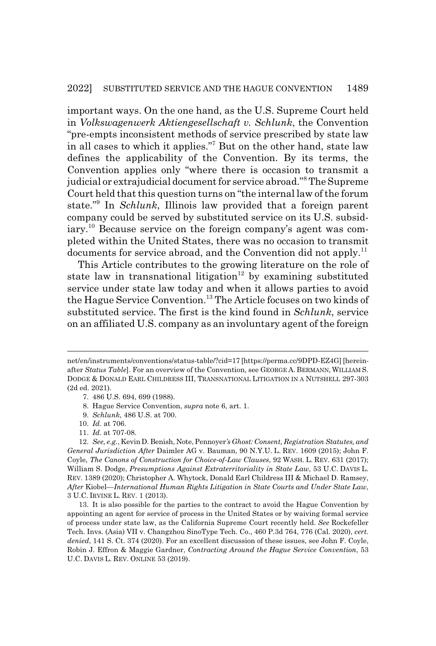important ways. On the one hand, as the U.S. Supreme Court held in *Volkswagenwerk Aktiengesellschaft v. Schlunk*, the Convention "pre-empts inconsistent methods of service prescribed by state law in all cases to which it applies."7 But on the other hand, state law defines the applicability of the Convention. By its terms, the Convention applies only "where there is occasion to transmit a judicial or extrajudicial document for service abroad."<sup>8</sup> The Supreme Court held that this question turns on "the internal law of the forum state."9 In *Schlunk*, Illinois law provided that a foreign parent company could be served by substituted service on its U.S. subsidiary.<sup>10</sup> Because service on the foreign company's agent was completed within the United States, there was no occasion to transmit documents for service abroad, and the Convention did not apply.<sup>11</sup>

This Article contributes to the growing literature on the role of state law in transnational litigation<sup>12</sup> by examining substituted service under state law today and when it allows parties to avoid the Hague Service Convention.13 The Article focuses on two kinds of substituted service. The first is the kind found in *Schlunk*, service on an affiliated U.S. company as an involuntary agent of the foreign

net/en/instruments/conventions/status-table/?cid=17 [https://perma.cc/9DPD-EZ4G] [hereinafter *Status Table*]. For an overview of the Convention, see GEORGE A. BERMANN, WILLIAM S. DODGE & DONALD EARL CHILDRESS III, TRANSNATIONAL LITIGATION IN A NUTSHELL 297-303 (2d ed. 2021).

<sup>7. 486</sup> U.S. 694, 699 (1988).

<sup>8.</sup> Hague Service Convention, *supra* note 6, art. 1.

<sup>9.</sup> *Schlunk*, 486 U.S. at 700.

<sup>10.</sup> *Id.* at 706.

<sup>11.</sup> *Id.* at 707-08.

<sup>12.</sup> *See, e.g.*, Kevin D. Benish, Note, Pennoyer*'s Ghost: Consent, Registration Statutes, and General Jurisdiction After* Daimler AG v. Bauman, 90 N.Y.U. L. REV. 1609 (2015); John F. Coyle, *The Canons of Construction for Choice-of-Law Clauses*, 92 WASH. L. REV. 631 (2017); William S. Dodge, *Presumptions Against Extraterritoriality in State Law*, 53 U.C. DAVIS L. REV. 1389 (2020); Christopher A. Whytock, Donald Earl Childress III & Michael D. Ramsey, *After* Kiobel*—International Human Rights Litigation in State Courts and Under State Law*, 3 U.C. IRVINE L. REV. 1 (2013).

<sup>13.</sup> It is also possible for the parties to the contract to avoid the Hague Convention by appointing an agent for service of process in the United States or by waiving formal service of process under state law, as the California Supreme Court recently held. *See* Rockefeller Tech. Invs. (Asia) VII v. Changzhou SinoType Tech. Co., 460 P.3d 764, 776 (Cal. 2020), *cert. denied*, 141 S. Ct. 374 (2020). For an excellent discussion of these issues, see John F. Coyle, Robin J. Effron & Maggie Gardner, *Contracting Around the Hague Service Convention*, 53 U.C. DAVIS L. REV. ONLINE 53 (2019).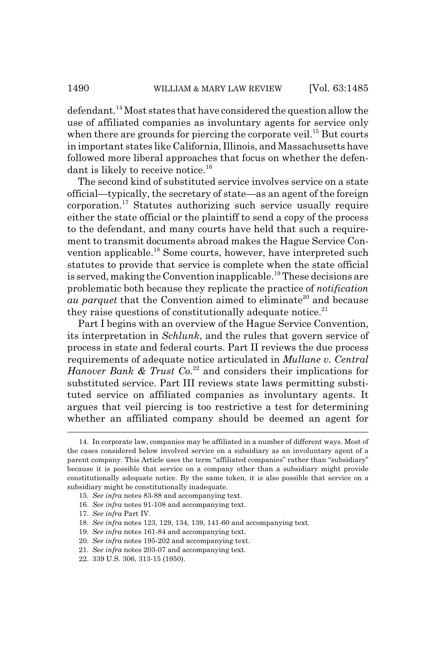defendant.<sup>14</sup> Most states that have considered the question allow the use of affiliated companies as involuntary agents for service only when there are grounds for piercing the corporate veil.<sup>15</sup> But courts in important states like California, Illinois, and Massachusetts have followed more liberal approaches that focus on whether the defendant is likely to receive notice.<sup>16</sup>

The second kind of substituted service involves service on a state official—typically, the secretary of state—as an agent of the foreign corporation.17 Statutes authorizing such service usually require either the state official or the plaintiff to send a copy of the process to the defendant, and many courts have held that such a requirement to transmit documents abroad makes the Hague Service Convention applicable.18 Some courts, however, have interpreted such statutes to provide that service is complete when the state official is served, making the Convention inapplicable.19 These decisions are problematic both because they replicate the practice of *notification au parquet* that the Convention aimed to eliminate<sup>20</sup> and because they raise questions of constitutionally adequate notice. $21$ 

Part I begins with an overview of the Hague Service Convention, its interpretation in *Schlunk*, and the rules that govern service of process in state and federal courts. Part II reviews the due process requirements of adequate notice articulated in *Mullane v. Central Hanover Bank & Trust Co.*22 and considers their implications for substituted service. Part III reviews state laws permitting substituted service on affiliated companies as involuntary agents. It argues that veil piercing is too restrictive a test for determining whether an affiliated company should be deemed an agent for

18. *See infra* notes 123, 129, 134, 139, 141-60 and accompanying text.

<sup>14.</sup> In corporate law, companies may be affiliated in a number of different ways. Most of the cases considered below involved service on a subsidiary as an involuntary agent of a parent company. This Article uses the term "affiliated companies" rather than "subsidiary" because it is possible that service on a company other than a subsidiary might provide constitutionally adequate notice. By the same token, it is also possible that service on a subsidiary might be constitutionally inadequate.

<sup>15.</sup> *See infra* notes 83-88 and accompanying text.

<sup>16.</sup> *See infra* notes 91-108 and accompanying text.

<sup>17.</sup> *See infra* Part IV.

<sup>19.</sup> *See infra* notes 161-84 and accompanying text.

<sup>20.</sup> *See infra* notes 195-202 and accompanying text.

<sup>21.</sup> *See infra* notes 203-07 and accompanying text.

<sup>22. 339</sup> U.S. 306, 313-15 (1950).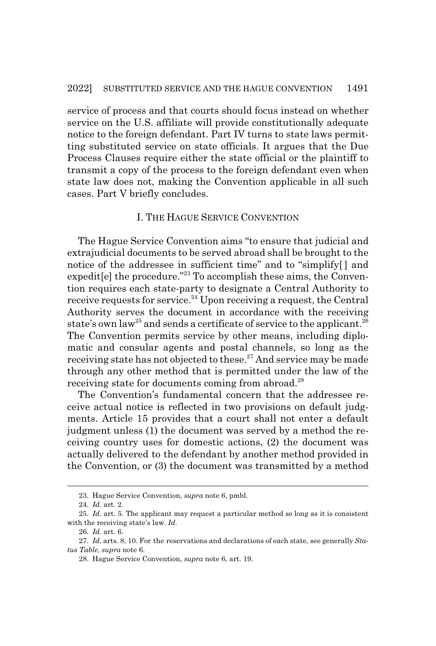service of process and that courts should focus instead on whether service on the U.S. affiliate will provide constitutionally adequate notice to the foreign defendant. Part IV turns to state laws permitting substituted service on state officials. It argues that the Due Process Clauses require either the state official or the plaintiff to transmit a copy of the process to the foreign defendant even when state law does not, making the Convention applicable in all such cases. Part V briefly concludes.

### I. THE HAGUE SERVICE CONVENTION

The Hague Service Convention aims "to ensure that judicial and extrajudicial documents to be served abroad shall be brought to the notice of the addressee in sufficient time" and to "simplify[ ] and expedit [e] the procedure."<sup>23</sup> To accomplish these aims, the Convention requires each state-party to designate a Central Authority to receive requests for service.<sup>24</sup> Upon receiving a request, the Central Authority serves the document in accordance with the receiving state's own law<sup>25</sup> and sends a certificate of service to the applicant.<sup>26</sup> The Convention permits service by other means, including diplomatic and consular agents and postal channels, so long as the receiving state has not objected to these.<sup>27</sup> And service may be made through any other method that is permitted under the law of the receiving state for documents coming from abroad.<sup>28</sup>

The Convention's fundamental concern that the addressee receive actual notice is reflected in two provisions on default judgments. Article 15 provides that a court shall not enter a default judgment unless (1) the document was served by a method the receiving country uses for domestic actions, (2) the document was actually delivered to the defendant by another method provided in the Convention, or (3) the document was transmitted by a method

<sup>23.</sup> Hague Service Convention, *supra* note 6, pmbl.

<sup>24.</sup> *Id.* art. 2.

<sup>25.</sup> *Id.* art. 5. The applicant may request a particular method so long as it is consistent with the receiving state's law. *Id.*

<sup>26.</sup> *Id.* art. 6.

<sup>27.</sup> *Id.* arts. 8, 10. For the reservations and declarations of each state, see generally *Status Table*, *supra* note 6.

<sup>28.</sup> Hague Service Convention, *supra* note 6, art. 19.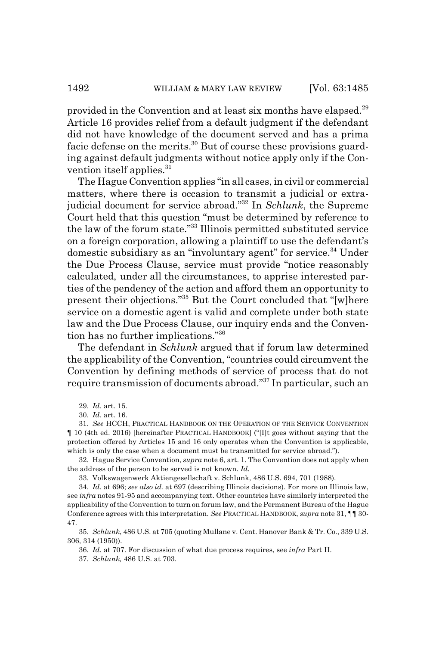provided in the Convention and at least six months have elapsed.<sup>29</sup> Article 16 provides relief from a default judgment if the defendant did not have knowledge of the document served and has a prima facie defense on the merits.<sup>30</sup> But of course these provisions guarding against default judgments without notice apply only if the Convention itself applies.<sup>31</sup>

The Hague Convention applies "in all cases, in civil or commercial matters, where there is occasion to transmit a judicial or extrajudicial document for service abroad."32 In *Schlunk*, the Supreme Court held that this question "must be determined by reference to the law of the forum state."33 Illinois permitted substituted service on a foreign corporation, allowing a plaintiff to use the defendant's domestic subsidiary as an "involuntary agent" for service.<sup>34</sup> Under the Due Process Clause, service must provide "notice reasonably calculated, under all the circumstances, to apprise interested parties of the pendency of the action and afford them an opportunity to present their objections."35 But the Court concluded that "[w]here service on a domestic agent is valid and complete under both state law and the Due Process Clause, our inquiry ends and the Convention has no further implications."36

The defendant in *Schlunk* argued that if forum law determined the applicability of the Convention, "countries could circumvent the Convention by defining methods of service of process that do not require transmission of documents abroad."37 In particular, such an

<sup>29.</sup> *Id.* art. 15.

<sup>30.</sup> *Id.* art. 16.

<sup>31.</sup> *See* HCCH, PRACTICAL HANDBOOK ON THE OPERATION OF THE SERVICE CONVENTION ¶ 10 (4th ed. 2016) [hereinafter PRACTICAL HANDBOOK] ("[I]t goes without saying that the protection offered by Articles 15 and 16 only operates when the Convention is applicable, which is only the case when a document must be transmitted for service abroad.").

<sup>32.</sup> Hague Service Convention, *supra* note 6, art. 1. The Convention does not apply when the address of the person to be served is not known. *Id.*

<sup>33.</sup> Volkswagenwerk Aktiengesellschaft v. Schlunk, 486 U.S. 694, 701 (1988).

<sup>34.</sup> *Id.* at 696; *see also id.* at 697 (describing Illinois decisions). For more on Illinois law, see *infra* notes 91-95 and accompanying text. Other countries have similarly interpreted the applicability of the Convention to turn on forum law, and the Permanent Bureau of the Hague Conference agrees with this interpretation. *See* PRACTICAL HANDBOOK, *supra* note 31, ¶¶ 30- 47.

<sup>35.</sup> *Schlunk*, 486 U.S. at 705 (quoting Mullane v. Cent. Hanover Bank & Tr. Co., 339 U.S. 306, 314 (1950)).

<sup>36.</sup> *Id.* at 707. For discussion of what due process requires, see *infra* Part II.

<sup>37.</sup> *Schlunk,* 486 U.S. at 703.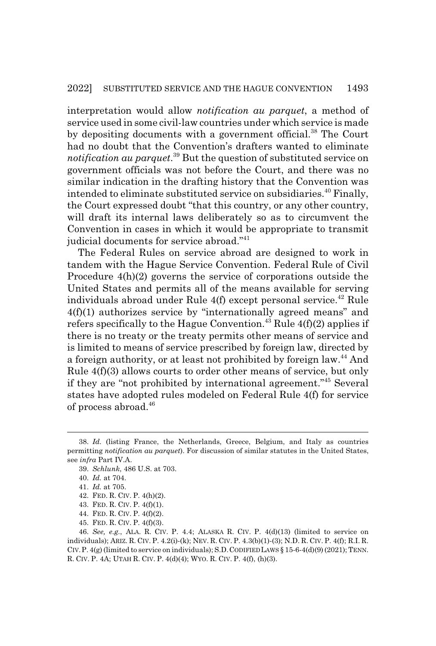interpretation would allow *notification au parquet*, a method of service used in some civil-law countries under which service is made by depositing documents with a government official.<sup>38</sup> The Court had no doubt that the Convention's drafters wanted to eliminate *notification au parquet*. 39 But the question of substituted service on government officials was not before the Court, and there was no similar indication in the drafting history that the Convention was intended to eliminate substituted service on subsidiaries.<sup>40</sup> Finally, the Court expressed doubt "that this country, or any other country, will draft its internal laws deliberately so as to circumvent the Convention in cases in which it would be appropriate to transmit judicial documents for service abroad."<sup>41</sup>

The Federal Rules on service abroad are designed to work in tandem with the Hague Service Convention. Federal Rule of Civil Procedure 4(h)(2) governs the service of corporations outside the United States and permits all of the means available for serving individuals abroad under Rule  $4(f)$  except personal service.<sup>42</sup> Rule 4(f)(1) authorizes service by "internationally agreed means" and refers specifically to the Hague Convention.<sup>43</sup> Rule  $4(f)(2)$  applies if there is no treaty or the treaty permits other means of service and is limited to means of service prescribed by foreign law, directed by a foreign authority, or at least not prohibited by foreign law.<sup>44</sup> And Rule 4(f)(3) allows courts to order other means of service, but only if they are "not prohibited by international agreement."45 Several states have adopted rules modeled on Federal Rule 4(f) for service of process abroad.<sup>46</sup>

- 44. FED. R. CIV. P. 4(f)(2).
- 45. FED. R. CIV. P. 4(f)(3).

<sup>38.</sup> *Id.* (listing France, the Netherlands, Greece, Belgium, and Italy as countries permitting *notification au parquet*). For discussion of similar statutes in the United States, see *infra* Part IV.A.

<sup>39.</sup> *Schlunk*, 486 U.S. at 703.

<sup>40.</sup> *Id.* at 704.

<sup>41.</sup> *Id.* at 705.

<sup>42.</sup> FED. R. CIV. P. 4(h)(2).

<sup>43.</sup> FED. R. CIV. P. 4(f)(1).

<sup>46.</sup> *See, e.g.*, ALA. R. CIV. P. 4.4; ALASKA R. CIV. P. 4(d)(13) (limited to service on individuals); ARIZ. R. CIV. P. 4.2(i)-(k); NEV. R. CIV. P. 4.3(b)(1)-(3); N.D. R. CIV. P. 4(f); R.I. R. CIV.P. 4(g) (limited to service on individuals); S.D.CODIFIED LAWS § 15-6-4(d)(9) (2021); TENN. R. CIV. P. 4A; UTAH R. CIV. P. 4(d)(4); WYO. R. CIV. P. 4(f), (h)(3).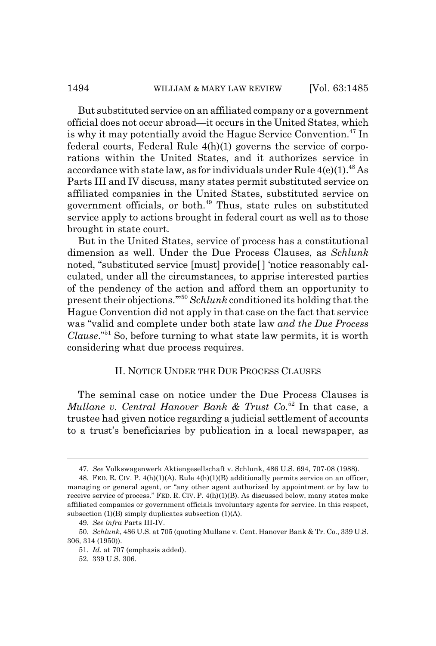But substituted service on an affiliated company or a government official does not occur abroad—it occurs in the United States, which is why it may potentially avoid the Hague Service Convention.<sup>47</sup> In federal courts, Federal Rule 4(h)(1) governs the service of corporations within the United States, and it authorizes service in accordance with state law, as for individuals under Rule  $4(e)(1)^{48}$  As Parts III and IV discuss, many states permit substituted service on affiliated companies in the United States, substituted service on government officials, or both.<sup>49</sup> Thus, state rules on substituted service apply to actions brought in federal court as well as to those brought in state court.

But in the United States, service of process has a constitutional dimension as well. Under the Due Process Clauses, as *Schlunk* noted, "substituted service [must] provide[ ] 'notice reasonably calculated, under all the circumstances, to apprise interested parties of the pendency of the action and afford them an opportunity to present their objections.'"<sup>50</sup> *Schlunk* conditioned its holding that the Hague Convention did not apply in that case on the fact that service was "valid and complete under both state law *and the Due Process Clause*."51 So, before turning to what state law permits, it is worth considering what due process requires.

### II. NOTICE UNDER THE DUE PROCESS CLAUSES

The seminal case on notice under the Due Process Clauses is *Mullane v. Central Hanover Bank & Trust Co.*<sup>52</sup> In that case, a trustee had given notice regarding a judicial settlement of accounts to a trust's beneficiaries by publication in a local newspaper, as

<sup>47.</sup> *See* Volkswagenwerk Aktiengesellschaft v. Schlunk, 486 U.S. 694, 707-08 (1988).

<sup>48.</sup> FED. R. CIV. P.  $4(h)(1)(A)$ . Rule  $4(h)(1)(B)$  additionally permits service on an officer, managing or general agent, or "any other agent authorized by appointment or by law to receive service of process." FED. R. CIV. P. 4(h)(1)(B). As discussed below, many states make affiliated companies or government officials involuntary agents for service. In this respect, subsection (1)(B) simply duplicates subsection (1)(A).

<sup>49.</sup> *See infra* Parts III-IV.

<sup>50.</sup> *Schlunk*, 486 U.S. at 705 (quoting Mullane v. Cent. Hanover Bank & Tr. Co., 339 U.S. 306, 314 (1950)).

<sup>51.</sup> *Id.* at 707 (emphasis added).

<sup>52. 339</sup> U.S. 306.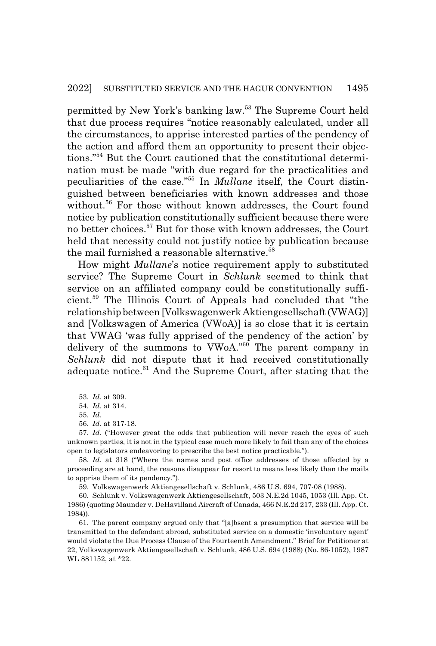permitted by New York's banking law.53 The Supreme Court held that due process requires "notice reasonably calculated, under all the circumstances, to apprise interested parties of the pendency of the action and afford them an opportunity to present their objections."54 But the Court cautioned that the constitutional determination must be made "with due regard for the practicalities and peculiarities of the case."55 In *Mullane* itself, the Court distinguished between beneficiaries with known addresses and those without.<sup>56</sup> For those without known addresses, the Court found notice by publication constitutionally sufficient because there were no better choices.57 But for those with known addresses, the Court held that necessity could not justify notice by publication because the mail furnished a reasonable alternative.<sup>58</sup>

How might *Mullane*'s notice requirement apply to substituted service? The Supreme Court in *Schlunk* seemed to think that service on an affiliated company could be constitutionally sufficient.59 The Illinois Court of Appeals had concluded that "the relationship between [Volkswagenwerk Aktiengesellschaft (VWAG)] and [Volkswagen of America (VWoA)] is so close that it is certain that VWAG 'was fully apprised of the pendency of the action' by delivery of the summons to VWoA."60 The parent company in *Schlunk* did not dispute that it had received constitutionally adequate notice.<sup>61</sup> And the Supreme Court, after stating that the

59. Volkswagenwerk Aktiengesellschaft v. Schlunk, 486 U.S. 694, 707-08 (1988).

<sup>53.</sup> *Id.* at 309.

<sup>54.</sup> *Id.* at 314.

<sup>55.</sup> *Id.*

<sup>56.</sup> *Id.* at 317-18.

<sup>57.</sup> *Id.* ("However great the odds that publication will never reach the eyes of such unknown parties, it is not in the typical case much more likely to fail than any of the choices open to legislators endeavoring to prescribe the best notice practicable.").

<sup>58.</sup> *Id.* at 318 ("Where the names and post office addresses of those affected by a proceeding are at hand, the reasons disappear for resort to means less likely than the mails to apprise them of its pendency.").

<sup>60.</sup> Schlunk v. Volkswagenwerk Aktiengesellschaft, 503 N.E.2d 1045, 1053 (Ill. App. Ct. 1986) (quoting Maunder v. DeHavilland Aircraft of Canada, 466 N.E.2d 217, 233 (Ill. App. Ct. 1984)).

<sup>61.</sup> The parent company argued only that "[a]bsent a presumption that service will be transmitted to the defendant abroad, substituted service on a domestic 'involuntary agent' would violate the Due Process Clause of the Fourteenth Amendment." Brief for Petitioner at 22, Volkswagenwerk Aktiengesellschaft v. Schlunk, 486 U.S. 694 (1988) (No. 86-1052), 1987 WL 881152, at \*22.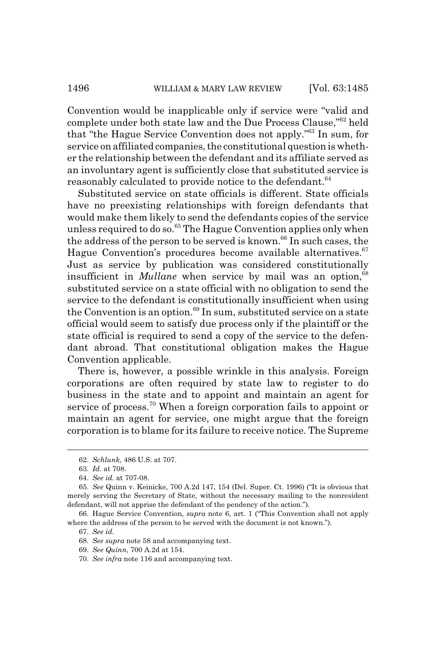Convention would be inapplicable only if service were "valid and complete under both state law and the Due Process Clause,"62 held that "the Hague Service Convention does not apply."63 In sum, for service on affiliated companies, the constitutional question is whether the relationship between the defendant and its affiliate served as an involuntary agent is sufficiently close that substituted service is reasonably calculated to provide notice to the defendant.<sup>64</sup>

Substituted service on state officials is different. State officials have no preexisting relationships with foreign defendants that would make them likely to send the defendants copies of the service unless required to do so.<sup>65</sup> The Hague Convention applies only when the address of the person to be served is known.<sup>66</sup> In such cases, the Hague Convention's procedures become available alternatives.<sup>67</sup> Just as service by publication was considered constitutionally insufficient in *Mullane* when service by mail was an option,<sup>68</sup> substituted service on a state official with no obligation to send the service to the defendant is constitutionally insufficient when using the Convention is an option.<sup>69</sup> In sum, substituted service on a state official would seem to satisfy due process only if the plaintiff or the state official is required to send a copy of the service to the defendant abroad. That constitutional obligation makes the Hague Convention applicable.

There is, however, a possible wrinkle in this analysis. Foreign corporations are often required by state law to register to do business in the state and to appoint and maintain an agent for service of process.<sup>70</sup> When a foreign corporation fails to appoint or maintain an agent for service, one might argue that the foreign corporation is to blame for its failure to receive notice. The Supreme

<sup>62.</sup> *Schlunk*, 486 U.S. at 707.

<sup>63.</sup> *Id.* at 708.

<sup>64.</sup> *See id.* at 707-08.

<sup>65.</sup> *See* Quinn v. Keinicke, 700 A.2d 147, 154 (Del. Super. Ct. 1996) ("It is obvious that merely serving the Secretary of State, without the necessary mailing to the nonresident defendant, will not apprise the defendant of the pendency of the action.").

<sup>66.</sup> Hague Service Convention, *supra* note 6, art. 1 ("This Convention shall not apply where the address of the person to be served with the document is not known.").

<sup>67.</sup> *See id.*

<sup>68.</sup> *See supra* note 58 and accompanying text.

<sup>69.</sup> *See Quinn*, 700 A.2d at 154.

<sup>70.</sup> *See infra* note 116 and accompanying text.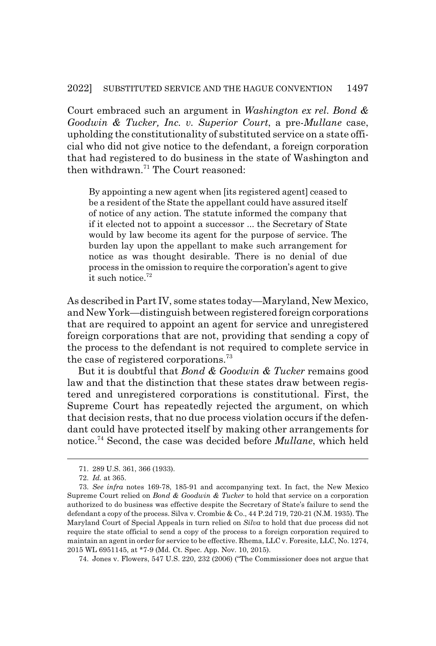Court embraced such an argument in *Washington ex rel. Bond & Goodwin & Tucker, Inc. v. Superior Court*, a pre-*Mullane* case, upholding the constitutionality of substituted service on a state official who did not give notice to the defendant, a foreign corporation that had registered to do business in the state of Washington and then withdrawn. $71$  The Court reasoned:

By appointing a new agent when [its registered agent] ceased to be a resident of the State the appellant could have assured itself of notice of any action. The statute informed the company that if it elected not to appoint a successor ... the Secretary of State would by law become its agent for the purpose of service. The burden lay upon the appellant to make such arrangement for notice as was thought desirable. There is no denial of due process in the omission to require the corporation's agent to give it such notice.72

As described in Part IV, some states today—Maryland, New Mexico, and New York—distinguish between registered foreign corporations that are required to appoint an agent for service and unregistered foreign corporations that are not, providing that sending a copy of the process to the defendant is not required to complete service in the case of registered corporations.<sup>73</sup>

But it is doubtful that *Bond & Goodwin & Tucker* remains good law and that the distinction that these states draw between registered and unregistered corporations is constitutional. First, the Supreme Court has repeatedly rejected the argument, on which that decision rests, that no due process violation occurs if the defendant could have protected itself by making other arrangements for notice.74 Second, the case was decided before *Mullane*, which held

74. Jones v. Flowers, 547 U.S. 220, 232 (2006) ("The Commissioner does not argue that

<sup>71. 289</sup> U.S. 361, 366 (1933).

<sup>72.</sup> *Id.* at 365.

<sup>73.</sup> *See infra* notes 169-78, 185-91 and accompanying text. In fact, the New Mexico Supreme Court relied on *Bond & Goodwin & Tucker* to hold that service on a corporation authorized to do business was effective despite the Secretary of State's failure to send the defendant a copy of the process. Silva v. Crombie & Co., 44 P.2d 719, 720-21 (N.M. 1935). The Maryland Court of Special Appeals in turn relied on *Silva* to hold that due process did not require the state official to send a copy of the process to a foreign corporation required to maintain an agent in order for service to be effective. Rhema, LLC v. Foresite, LLC, No. 1274, 2015 WL 6951145, at \*7-9 (Md. Ct. Spec. App. Nov. 10, 2015).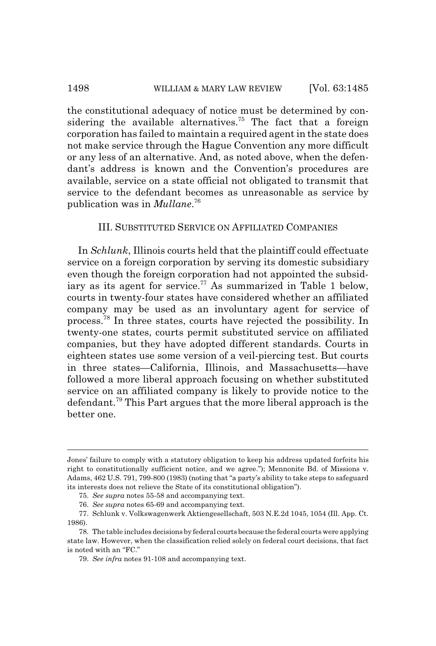the constitutional adequacy of notice must be determined by considering the available alternatives.<sup>75</sup> The fact that a foreign corporation has failed to maintain a required agent in the state does not make service through the Hague Convention any more difficult or any less of an alternative. And, as noted above, when the defendant's address is known and the Convention's procedures are available, service on a state official not obligated to transmit that service to the defendant becomes as unreasonable as service by publication was in *Mullane*. 76

### III. SUBSTITUTED SERVICE ON AFFILIATED COMPANIES

In *Schlunk*, Illinois courts held that the plaintiff could effectuate service on a foreign corporation by serving its domestic subsidiary even though the foreign corporation had not appointed the subsidiary as its agent for service.<sup>77</sup> As summarized in Table 1 below, courts in twenty-four states have considered whether an affiliated company may be used as an involuntary agent for service of process.78 In three states, courts have rejected the possibility. In twenty-one states, courts permit substituted service on affiliated companies, but they have adopted different standards. Courts in eighteen states use some version of a veil-piercing test. But courts in three states—California, Illinois, and Massachusetts—have followed a more liberal approach focusing on whether substituted service on an affiliated company is likely to provide notice to the defendant.79 This Part argues that the more liberal approach is the better one.

Jones' failure to comply with a statutory obligation to keep his address updated forfeits his right to constitutionally sufficient notice, and we agree."); Mennonite Bd. of Missions v. Adams, 462 U.S. 791, 799-800 (1983) (noting that "a party's ability to take steps to safeguard its interests does not relieve the State of its constitutional obligation").

<sup>75.</sup> *See supra* notes 55-58 and accompanying text.

<sup>76.</sup> *See supra* notes 65-69 and accompanying text.

<sup>77.</sup> Schlunk v. Volkswagenwerk Aktiengesellschaft, 503 N.E.2d 1045, 1054 (Ill. App. Ct. 1986).

<sup>78.</sup> The table includes decisions by federal courts because the federal courts were applying state law. However, when the classification relied solely on federal court decisions, that fact is noted with an "FC."

<sup>79.</sup> *See infra* notes 91-108 and accompanying text.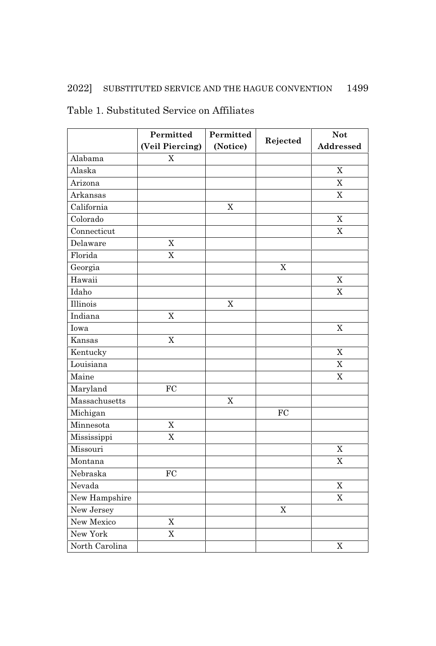### 2022] SUBSTITUTED SERVICE AND THE HAGUE CONVENTION 1499

|                | Permitted                 | Permitted   |                | <b>Not</b>     |
|----------------|---------------------------|-------------|----------------|----------------|
|                | (Veil Piercing)           | (Notice)    | Rejected       | Addressed      |
| Alabama        | $\boldsymbol{\mathrm{X}}$ |             |                |                |
| Alaska         |                           |             |                | X              |
| Arizona        |                           |             |                | X              |
| Arkansas       |                           |             |                | X              |
| California     |                           | $\mathbf X$ |                |                |
| Colorado       |                           |             |                | $\mathbf X$    |
| Connecticut    |                           |             |                | X              |
| Delaware       | $\mathbf X$               |             |                |                |
| Florida        | $\overline{X}$            |             |                |                |
| Georgia        |                           |             | $\overline{X}$ |                |
| Hawaii         |                           |             |                | $\rm X$        |
| Idaho          |                           |             |                | X              |
| Illinois       |                           | $\mathbf X$ |                |                |
| Indiana        | X                         |             |                |                |
| Iowa           |                           |             |                | X              |
| Kansas         | X                         |             |                |                |
| Kentucky       |                           |             |                | X              |
| Louisiana      |                           |             |                | $\mathbf X$    |
| Maine          |                           |             |                | X              |
| Maryland       | ${\rm FC}$                |             |                |                |
| Massachusetts  |                           | X           |                |                |
| Michigan       |                           |             | FC             |                |
| Minnesota      | X                         |             |                |                |
| Mississippi    | $\overline{X}$            |             |                |                |
| Missouri       |                           |             |                | $\mathbf X$    |
| Montana        |                           |             |                | X              |
| Nebraska       | FC                        |             |                |                |
| Nevada         |                           |             |                | $\overline{X}$ |
| New Hampshire  |                           |             |                | $\overline{X}$ |
| New Jersey     |                           |             | $\overline{X}$ |                |
| New Mexico     | $\overline{X}$            |             |                |                |
| New York       | X                         |             |                |                |
| North Carolina |                           |             |                | $\overline{X}$ |

### Table 1. Substituted Service on Affiliates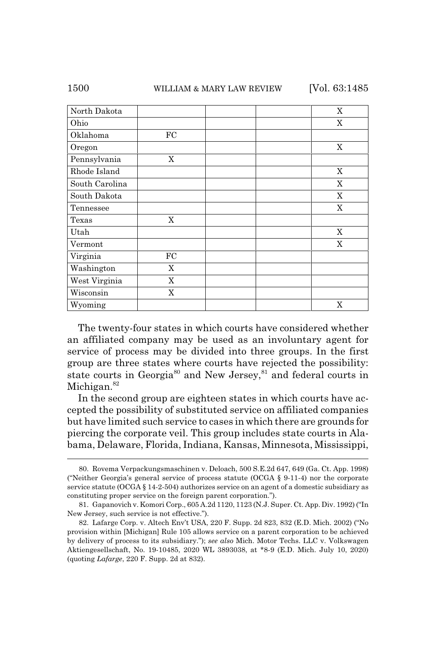| North Dakota   |    | X           |
|----------------|----|-------------|
|                |    |             |
| Ohio           |    | X           |
| Oklahoma       | FC |             |
| Oregon         |    | X           |
| Pennsylvania   | X  |             |
| Rhode Island   |    | X           |
| South Carolina |    | X           |
| South Dakota   |    | $\mathbf X$ |
| Tennessee      |    | $\mathbf X$ |
| Texas          | X  |             |
| Utah           |    | $\mathbf X$ |
| Vermont        |    | X           |
| Virginia       | FC |             |
| Washington     | X  |             |
| West Virginia  | X  |             |
| Wisconsin      | X  |             |
| Wyoming        |    | X           |

The twenty-four states in which courts have considered whether an affiliated company may be used as an involuntary agent for service of process may be divided into three groups. In the first group are three states where courts have rejected the possibility: state courts in Georgia<sup>80</sup> and New Jersey,  $81$  and federal courts in Michigan.<sup>82</sup>

In the second group are eighteen states in which courts have accepted the possibility of substituted service on affiliated companies but have limited such service to cases in which there are grounds for piercing the corporate veil. This group includes state courts in Alabama, Delaware, Florida, Indiana, Kansas, Minnesota, Mississippi,

<sup>80.</sup> Rovema Verpackungsmaschinen v. Deloach, 500 S.E.2d 647, 649 (Ga. Ct. App. 1998) ("Neither Georgia's general service of process statute (OCGA § 9-11-4) nor the corporate service statute (OCGA § 14-2-504) authorizes service on an agent of a domestic subsidiary as constituting proper service on the foreign parent corporation.").

<sup>81.</sup> Gapanovich v. Komori Corp., 605 A.2d 1120, 1123 (N.J. Super. Ct. App. Div. 1992) ("In New Jersey, such service is not effective.").

<sup>82.</sup> Lafarge Corp. v. Altech Env't USA, 220 F. Supp. 2d 823, 832 (E.D. Mich. 2002) ("No provision within [Michigan] Rule 105 allows service on a parent corporation to be achieved by delivery of process to its subsidiary."); *see also* Mich. Motor Techs. LLC v. Volkswagen Aktiengesellschaft, No. 19-10485, 2020 WL 3893038, at \*8-9 (E.D. Mich. July 10, 2020) (quoting *Lafarge*, 220 F. Supp. 2d at 832).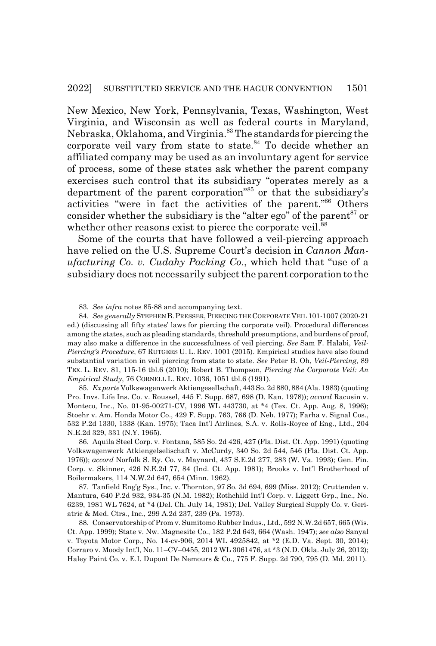New Mexico, New York, Pennsylvania, Texas, Washington, West Virginia, and Wisconsin as well as federal courts in Maryland, Nebraska, Oklahoma, and Virginia.83 The standards for piercing the corporate veil vary from state to state.<sup>84</sup> To decide whether an affiliated company may be used as an involuntary agent for service of process, some of these states ask whether the parent company exercises such control that its subsidiary "operates merely as a department of the parent corporation"<sup>85</sup> or that the subsidiary's activities "were in fact the activities of the parent."86 Others consider whether the subsidiary is the "alter ego" of the parent<sup>87</sup> or whether other reasons exist to pierce the corporate veil.<sup>88</sup>

Some of the courts that have followed a veil-piercing approach have relied on the U.S. Supreme Court's decision in *Cannon Manufacturing Co. v. Cudahy Packing Co*., which held that "use of a subsidiary does not necessarily subject the parent corporation to the

<sup>83.</sup> *See infra* notes 85-88 and accompanying text.

<sup>84.</sup> *See generally* STEPHEN B.PRESSER,PIERCING THE CORPORATE VEIL 101-1007 (2020-21 ed.) (discussing all fifty states' laws for piercing the corporate veil). Procedural differences among the states, such as pleading standards, threshold presumptions, and burdens of proof, may also make a difference in the successfulness of veil piercing. *See* Sam F. Halabi, *Veil-Piercing's Procedure*, 67 RUTGERS U. L. REV. 1001 (2015). Empirical studies have also found substantial variation in veil piercing from state to state. *See* Peter B. Oh, *Veil-Piercing*, 89 TEX. L. REV. 81, 115-16 tbl.6 (2010); Robert B. Thompson, *Piercing the Corporate Veil: An Empirical Study*, 76 CORNELL L. REV. 1036, 1051 tbl.6 (1991).

<sup>85.</sup> *Ex parte* Volkswagenwerk Aktiengesellschaft, 443 So. 2d 880, 884 (Ala. 1983) (quoting Pro. Invs. Life Ins. Co. v. Roussel, 445 F. Supp. 687, 698 (D. Kan. 1978)); *accord* Racusin v. Monteco, Inc., No. 01-95-00271-CV, 1996 WL 443730, at \*4 (Tex. Ct. App. Aug. 8, 1996); Stoehr v. Am. Honda Motor Co., 429 F. Supp. 763, 766 (D. Neb. 1977); Farha v. Signal Cos., 532 P.2d 1330, 1338 (Kan. 1975); Taca Int'l Airlines, S.A. v. Rolls-Royce of Eng., Ltd., 204 N.E.2d 329, 331 (N.Y. 1965).

<sup>86.</sup> Aquila Steel Corp. v. Fontana, 585 So. 2d 426, 427 (Fla. Dist. Ct. App. 1991) (quoting Volkswagenwerk Atkiengelselischaft v. McCurdy, 340 So. 2d 544, 546 (Fla. Dist. Ct. App. 1976)); *accord* Norfolk S. Ry. Co. v. Maynard, 437 S.E.2d 277, 283 (W. Va. 1993); Gen. Fin. Corp. v. Skinner, 426 N.E.2d 77, 84 (Ind. Ct. App. 1981); Brooks v. Int'l Brotherhood of Boilermakers, 114 N.W.2d 647, 654 (Minn. 1962).

<sup>87.</sup> Tanfield Eng'g Sys., Inc. v. Thornton, 97 So. 3d 694, 699 (Miss. 2012); Cruttenden v. Mantura, 640 P.2d 932, 934-35 (N.M. 1982); Rothchild Int'l Corp. v. Liggett Grp., Inc., No. 6239, 1981 WL 7624, at \*4 (Del. Ch. July 14, 1981); Del. Valley Surgical Supply Co. v. Geriatric & Med. Ctrs., Inc., 299 A.2d 237, 239 (Pa. 1973).

<sup>88.</sup> Conservatorship of Prom v. Sumitomo Rubber Indus., Ltd., 592 N.W.2d 657, 665 (Wis. Ct. App. 1999); State v. Nw. Magnesite Co., 182 P.2d 643, 664 (Wash. 1947); *see also* Sanyal v. Toyota Motor Corp., No. 14-cv-906, 2014 WL 4925842, at \*2 (E.D. Va. Sept. 30, 2014); Corraro v. Moody Int'l, No. 11–CV–0455, 2012 WL 3061476, at \*3 (N.D. Okla. July 26, 2012); Haley Paint Co. v. E.I. Dupont De Nemours & Co., 775 F. Supp. 2d 790, 795 (D. Md. 2011).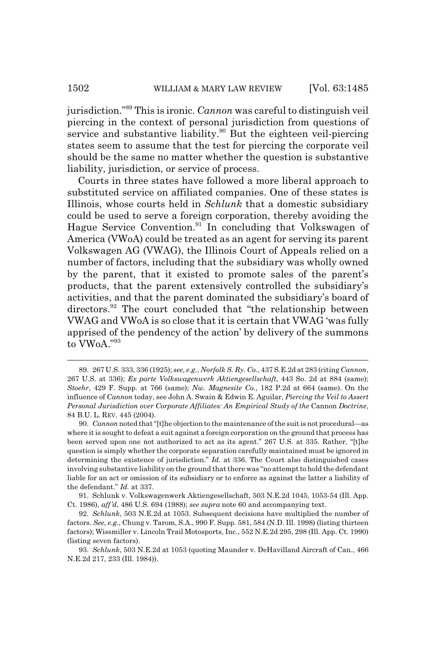jurisdiction."89 This is ironic. *Cannon* was careful to distinguish veil piercing in the context of personal jurisdiction from questions of service and substantive liability.<sup>90</sup> But the eighteen veil-piercing states seem to assume that the test for piercing the corporate veil should be the same no matter whether the question is substantive liability, jurisdiction, or service of process.

Courts in three states have followed a more liberal approach to substituted service on affiliated companies. One of these states is Illinois, whose courts held in *Schlunk* that a domestic subsidiary could be used to serve a foreign corporation, thereby avoiding the Hague Service Convention.<sup>91</sup> In concluding that Volkswagen of America (VWoA) could be treated as an agent for serving its parent Volkswagen AG (VWAG), the Illinois Court of Appeals relied on a number of factors, including that the subsidiary was wholly owned by the parent, that it existed to promote sales of the parent's products, that the parent extensively controlled the subsidiary's activities, and that the parent dominated the subsidiary's board of directors.<sup>92</sup> The court concluded that "the relationship between VWAG and VWoA is so close that it is certain that VWAG 'was fully apprised of the pendency of the action' by delivery of the summons to VWoA<sup>"93</sup>

91. Schlunk v. Volkswagenwerk Aktiengesellschaft, 503 N.E.2d 1045, 1053-54 (Ill. App. Ct. 1986), *aff'd*, 486 U.S. 694 (1988); *see supra* note 60 and accompanying text.

<sup>89. 267</sup> U.S. 333, 336 (1925); *see, e.g.*, *Norfolk S. Ry. Co*., 437 S.E.2d at 283 (citing *Cannon*, 267 U.S. at 336); *Ex parte Volkswagenwerk Aktiengesellschaft*, 443 So. 2d at 884 (same); *Stoehr*, 429 F. Supp. at 766 (same); *Nw. Magnesite Co*., 182 P.2d at 664 (same). On the influence of *Cannon* today, see John A. Swain & Edwin E. Aguilar, *Piercing the Veil to Assert Personal Jurisdiction over Corporate Affiliates: An Empirical Study of the* Cannon *Doctrine*, 84 B.U. L. REV. 445 (2004).

<sup>90.</sup> *Cannon* noted that "[t]he objection to the maintenance of the suit is not procedural—as where it is sought to defeat a suit against a foreign corporation on the ground that process has been served upon one not authorized to act as its agent." 267 U.S. at 335. Rather, "[t]he question is simply whether the corporate separation carefully maintained must be ignored in determining the existence of jurisdiction." *Id.* at 336. The Court also distinguished cases involving substantive liability on the ground that there was "no attempt to hold the defendant liable for an act or omission of its subsidiary or to enforce as against the latter a liability of the defendant." *Id.* at 337.

<sup>92.</sup> *Schlunk*, 503 N.E.2d at 1053. Subsequent decisions have multiplied the number of factors. *See, e.g.*, Chung v. Tarom, S.A., 990 F. Supp. 581, 584 (N.D. Ill. 1998) (listing thirteen factors); Wissmiller v. Lincoln Trail Motosports, Inc., 552 N.E.2d 295, 298 (Ill. App. Ct. 1990) (listing seven factors).

<sup>93.</sup> *Schlunk*, 503 N.E.2d at 1053 (quoting Maunder v. DeHavilland Aircraft of Can., 466 N.E.2d 217, 233 (Ill. 1984)).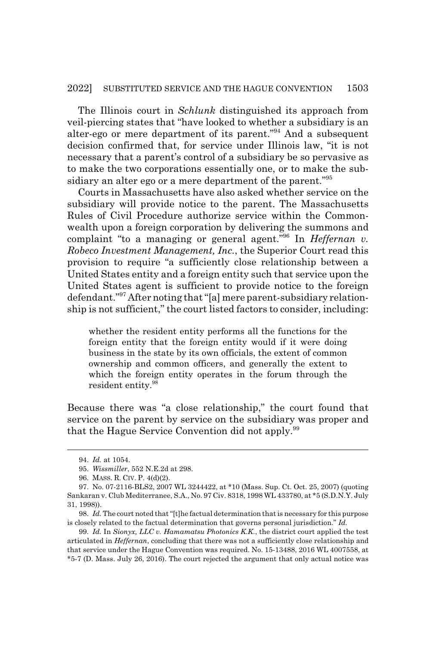The Illinois court in *Schlunk* distinguished its approach from veil-piercing states that "have looked to whether a subsidiary is an alter-ego or mere department of its parent."94 And a subsequent decision confirmed that, for service under Illinois law, "it is not necessary that a parent's control of a subsidiary be so pervasive as to make the two corporations essentially one, or to make the subsidiary an alter ego or a mere department of the parent."<sup>95</sup>

Courts in Massachusetts have also asked whether service on the subsidiary will provide notice to the parent. The Massachusetts Rules of Civil Procedure authorize service within the Commonwealth upon a foreign corporation by delivering the summons and complaint "to a managing or general agent."96 In *Heffernan v. Robeco Investment Management, Inc.*, the Superior Court read this provision to require "a sufficiently close relationship between a United States entity and a foreign entity such that service upon the United States agent is sufficient to provide notice to the foreign defendant."97 After noting that "[a] mere parent-subsidiary relationship is not sufficient," the court listed factors to consider, including:

whether the resident entity performs all the functions for the foreign entity that the foreign entity would if it were doing business in the state by its own officials, the extent of common ownership and common officers, and generally the extent to which the foreign entity operates in the forum through the resident entity.<sup>98</sup>

Because there was "a close relationship," the court found that service on the parent by service on the subsidiary was proper and that the Hague Service Convention did not apply.<sup>99</sup>

<sup>94.</sup> *Id.* at 1054.

<sup>95.</sup> *Wissmiller*, 552 N.E.2d at 298.

<sup>96.</sup> MASS. R. CIV. P. 4(d)(2).

<sup>97.</sup> No. 07-2116-BLS2, 2007 WL 3244422, at \*10 (Mass. Sup. Ct. Oct. 25, 2007) (quoting Sankaran v. Club Mediterranee, S.A., No. 97 Civ. 8318, 1998 WL 433780, at \*5 (S.D.N.Y. July 31, 1998)).

<sup>98.</sup> *Id.* The court noted that "[t]he factual determination that is necessary for this purpose is closely related to the factual determination that governs personal jurisdiction." *Id.*

<sup>99.</sup> *Id.* In *Sionyx, LLC v. Hamamatsu Photonics K.K.*, the district court applied the test articulated in *Heffernan*, concluding that there was not a sufficiently close relationship and that service under the Hague Convention was required. No. 15-13488, 2016 WL 4007558, at \*5-7 (D. Mass. July 26, 2016). The court rejected the argument that only actual notice was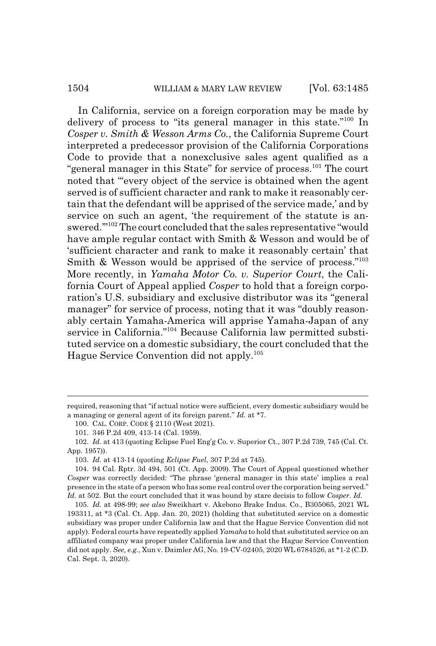#### 1504 WILLIAM & MARY LAW REVIEW [Vol. 63:1485]

In California, service on a foreign corporation may be made by delivery of process to "its general manager in this state."100 In *Cosper v. Smith & Wesson Arms Co.*, the California Supreme Court interpreted a predecessor provision of the California Corporations Code to provide that a nonexclusive sales agent qualified as a "general manager in this State" for service of process.<sup>101</sup> The court noted that "'every object of the service is obtained when the agent served is of sufficient character and rank to make it reasonably certain that the defendant will be apprised of the service made,' and by service on such an agent, 'the requirement of the statute is answered.'"102 The court concluded that the sales representative "would have ample regular contact with Smith & Wesson and would be of 'sufficient character and rank to make it reasonably certain' that Smith & Wesson would be apprised of the service of process."<sup>103</sup> More recently, in *Yamaha Motor Co. v. Superior Court*, the California Court of Appeal applied *Cosper* to hold that a foreign corporation's U.S. subsidiary and exclusive distributor was its "general manager" for service of process, noting that it was "doubly reasonably certain Yamaha-America will apprise Yamaha-Japan of any service in California."<sup>104</sup> Because California law permitted substituted service on a domestic subsidiary, the court concluded that the Hague Service Convention did not apply.105

required, reasoning that "if actual notice were sufficient, every domestic subsidiary would be a managing or general agent of its foreign parent." *Id.* at \*7.

<sup>100.</sup> CAL. CORP. CODE § 2110 (West 2021).

<sup>101. 346</sup> P.2d 409, 413-14 (Cal. 1959).

<sup>102.</sup> *Id.* at 413 (quoting Eclipse Fuel Eng'g Co. v. Superior Ct., 307 P.2d 739, 745 (Cal. Ct. App. 1957)).

<sup>103.</sup> *Id.* at 413-14 (quoting *Eclipse Fuel*, 307 P.2d at 745).

<sup>104. 94</sup> Cal. Rptr. 3d 494, 501 (Ct. App. 2009). The Court of Appeal questioned whether *Cosper* was correctly decided: "The phrase 'general manager in this state' implies a real presence in the state of a person who has some real control over the corporation being served." *Id.* at 502. But the court concluded that it was bound by stare decisis to follow *Cosper*. *Id.*

<sup>105.</sup> *Id.* at 498-99; *see also* Sweikhart v. Akebono Brake Indus. Co., B305065, 2021 WL 193311, at \*3 (Cal. Ct. App. Jan. 20, 2021) (holding that substituted service on a domestic subsidiary was proper under California law and that the Hague Service Convention did not apply). Federal courts have repeatedly applied *Yamaha* to hold that substituted service on an affiliated company was proper under California law and that the Hague Service Convention did not apply. *See, e.g.*, Xun v. Daimler AG, No. 19-CV-02405, 2020 WL 6784526, at \*1-2 (C.D. Cal. Sept. 3, 2020).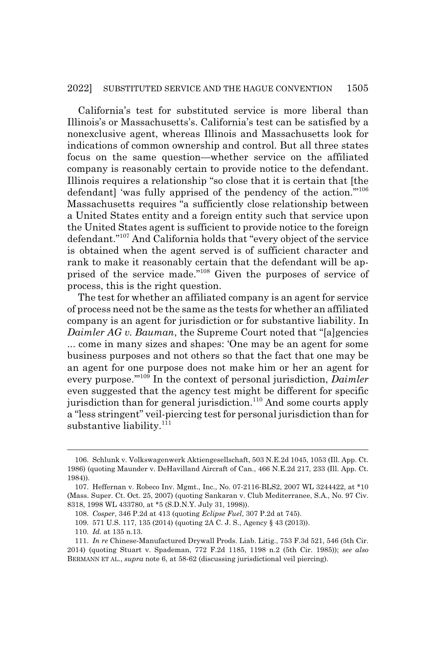California's test for substituted service is more liberal than Illinois's or Massachusetts's. California's test can be satisfied by a nonexclusive agent, whereas Illinois and Massachusetts look for indications of common ownership and control. But all three states focus on the same question—whether service on the affiliated company is reasonably certain to provide notice to the defendant. Illinois requires a relationship "so close that it is certain that [the defendant] 'was fully apprised of the pendency of the action."<sup>106</sup> Massachusetts requires "a sufficiently close relationship between a United States entity and a foreign entity such that service upon the United States agent is sufficient to provide notice to the foreign defendant."107 And California holds that "every object of the service is obtained when the agent served is of sufficient character and rank to make it reasonably certain that the defendant will be apprised of the service made."108 Given the purposes of service of process, this is the right question.

The test for whether an affiliated company is an agent for service of process need not be the same as the tests for whether an affiliated company is an agent for jurisdiction or for substantive liability. In *Daimler AG v. Bauman*, the Supreme Court noted that "[a]gencies ... come in many sizes and shapes: 'One may be an agent for some business purposes and not others so that the fact that one may be an agent for one purpose does not make him or her an agent for every purpose.'"109 In the context of personal jurisdiction, *Daimler* even suggested that the agency test might be different for specific jurisdiction than for general jurisdiction.<sup>110</sup> And some courts apply a "less stringent" veil-piercing test for personal jurisdiction than for substantive liability. $^{111}$ 

<sup>106.</sup> Schlunk v. Volkswagenwerk Aktiengesellschaft, 503 N.E.2d 1045, 1053 (Ill. App. Ct. 1986) (quoting Maunder v. DeHavilland Aircraft of Can., 466 N.E.2d 217, 233 (Ill. App. Ct. 1984)).

<sup>107.</sup> Heffernan v. Robeco Inv. Mgmt., Inc., No. 07-2116-BLS2, 2007 WL 3244422, at \*10 (Mass. Super. Ct. Oct. 25, 2007) (quoting Sankaran v. Club Mediterranee, S.A., No. 97 Civ. 8318, 1998 WL 433780, at \*5 (S.D.N.Y. July 31, 1998)).

<sup>108.</sup> *Cosper*, 346 P.2d at 413 (quoting *Eclipse Fuel*, 307 P.2d at 745).

<sup>109. 571</sup> U.S. 117, 135 (2014) (quoting 2A C. J. S., Agency § 43 (2013)).

<sup>110.</sup> *Id.* at 135 n.13.

<sup>111.</sup> *In re* Chinese-Manufactured Drywall Prods. Liab. Litig., 753 F.3d 521, 546 (5th Cir. 2014) (quoting Stuart v. Spademan, 772 F.2d 1185, 1198 n.2 (5th Cir. 1985)); *see also* BERMANN ET AL., *supra* note 6, at 58-62 (discussing jurisdictional veil piercing).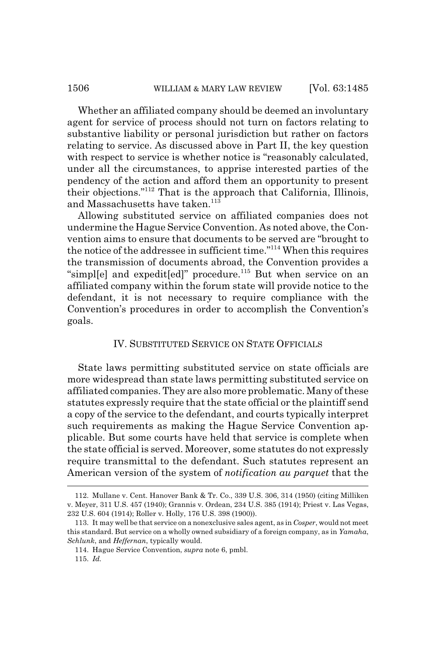Whether an affiliated company should be deemed an involuntary agent for service of process should not turn on factors relating to substantive liability or personal jurisdiction but rather on factors relating to service. As discussed above in Part II, the key question with respect to service is whether notice is "reasonably calculated, under all the circumstances, to apprise interested parties of the pendency of the action and afford them an opportunity to present their objections."112 That is the approach that California, Illinois, and Massachusetts have taken.<sup>113</sup>

Allowing substituted service on affiliated companies does not undermine the Hague Service Convention. As noted above, the Convention aims to ensure that documents to be served are "brought to the notice of the addressee in sufficient time."114 When this requires the transmission of documents abroad, the Convention provides a "simpl[e] and expedit[ed]" procedure.<sup>115</sup> But when service on an affiliated company within the forum state will provide notice to the defendant, it is not necessary to require compliance with the Convention's procedures in order to accomplish the Convention's goals.

### IV. SUBSTITUTED SERVICE ON STATE OFFICIALS

State laws permitting substituted service on state officials are more widespread than state laws permitting substituted service on affiliated companies. They are also more problematic. Many of these statutes expressly require that the state official or the plaintiff send a copy of the service to the defendant, and courts typically interpret such requirements as making the Hague Service Convention applicable. But some courts have held that service is complete when the state official is served. Moreover, some statutes do not expressly require transmittal to the defendant. Such statutes represent an American version of the system of *notification au parquet* that the

<sup>112.</sup> Mullane v. Cent. Hanover Bank & Tr. Co., 339 U.S. 306, 314 (1950) (citing Milliken v. Meyer, 311 U.S. 457 (1940); Grannis v. Ordean, 234 U.S. 385 (1914); Priest v. Las Vegas, 232 U.S. 604 (1914); Roller v. Holly, 176 U.S. 398 (1900)).

<sup>113.</sup> It may well be that service on a nonexclusive sales agent, as in *Cosper*, would not meet this standard. But service on a wholly owned subsidiary of a foreign company, as in *Yamaha*, *Schlunk*, and *Heffernan*, typically would.

<sup>114.</sup> Hague Service Convention, *supra* note 6, pmbl.

<sup>115.</sup> *Id.*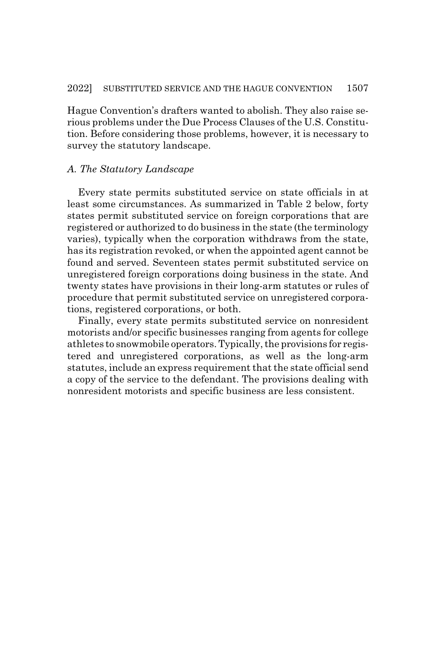Hague Convention's drafters wanted to abolish. They also raise serious problems under the Due Process Clauses of the U.S. Constitution. Before considering those problems, however, it is necessary to survey the statutory landscape.

### *A. The Statutory Landscape*

Every state permits substituted service on state officials in at least some circumstances. As summarized in Table 2 below, forty states permit substituted service on foreign corporations that are registered or authorized to do business in the state (the terminology varies), typically when the corporation withdraws from the state, has its registration revoked, or when the appointed agent cannot be found and served. Seventeen states permit substituted service on unregistered foreign corporations doing business in the state. And twenty states have provisions in their long-arm statutes or rules of procedure that permit substituted service on unregistered corporations, registered corporations, or both.

Finally, every state permits substituted service on nonresident motorists and/or specific businesses ranging from agents for college athletes to snowmobile operators. Typically, the provisions for registered and unregistered corporations, as well as the long-arm statutes, include an express requirement that the state official send a copy of the service to the defendant. The provisions dealing with nonresident motorists and specific business are less consistent.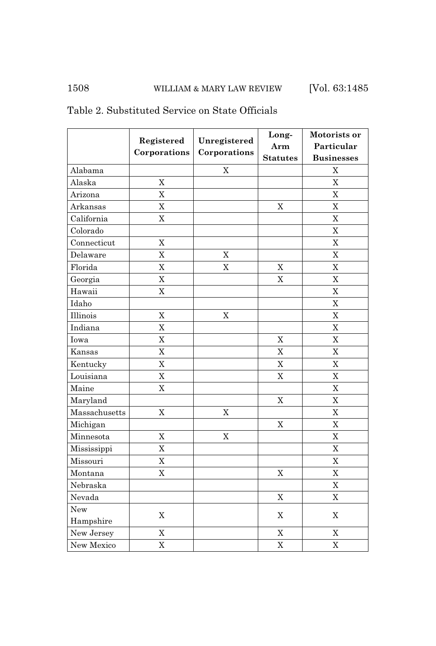### 1508 WILLIAM & MARY LAW REVIEW [Vol. 63:1485]

|               | Registered     | Unregistered<br>Corporations | Long-           | Motorists or              |
|---------------|----------------|------------------------------|-----------------|---------------------------|
|               | Corporations   |                              | Arm             | Particular                |
|               |                |                              | <b>Statutes</b> | <b>Businesses</b>         |
| Alabama       |                | X                            |                 | X                         |
| Alaska        | $\mathbf X$    |                              |                 | $\overline{X}$            |
| Arizona       | $\overline{X}$ |                              |                 | $\overline{X}$            |
| Arkansas      | $\overline{X}$ |                              | $\mathbf X$     | $\overline{X}$            |
| California    | $\mathbf X$    |                              |                 | $\boldsymbol{\mathrm{X}}$ |
| Colorado      |                |                              |                 | $\mathbf X$               |
| Connecticut   | $\rm X$        |                              |                 | $\overline{X}$            |
| Delaware      | $\overline{X}$ | $\overline{X}$               |                 | $\overline{X}$            |
| Florida       | $\mathbf X$    | $\overline{X}$               | $\mathbf X$     | $\mathbf X$               |
| Georgia       | $\overline{X}$ |                              | X               | X                         |
| Hawaii        | $\overline{X}$ |                              |                 | X                         |
| Idaho         |                |                              |                 | $\overline{X}$            |
| Illinois      | $\overline{X}$ | X                            |                 | $\overline{X}$            |
| Indiana       | $\overline{X}$ |                              |                 | $\overline{X}$            |
| Iowa          | $\overline{X}$ |                              | $\overline{X}$  | $\mathbf X$               |
| Kansas        | $\overline{X}$ |                              | X               | X                         |
| Kentucky      | $\overline{X}$ |                              | X               | X                         |
| Louisiana     | $\overline{X}$ |                              | $\overline{X}$  | $\overline{X}$            |
| Maine         | $\overline{X}$ |                              |                 | $\mathbf X$               |
| Maryland      |                |                              | X               | X                         |
| Massachusetts | $\mathbf X$    | $\mathbf X$                  |                 | $\overline{X}$            |
| Michigan      |                |                              | $\mathbf X$     | X                         |
| Minnesota     | $\mathbf X$    | $\mathbf X$                  |                 | $\overline{X}$            |
| Mississippi   | $\bar{X}$      |                              |                 | $\overline{X}$            |
| Missouri      | $\overline{X}$ |                              |                 | $\overline{X}$            |
| Montana       | $\overline{X}$ |                              | $\overline{X}$  | $\overline{X}$            |
| Nebraska      |                |                              |                 | X                         |
| Nevada        |                |                              | $\mathbf X$     | $\mathbf X$               |
| New           | $\mathbf X$    |                              | X               | $\boldsymbol{\mathrm{X}}$ |
| Hampshire     |                |                              |                 |                           |
| New Jersey    | X              |                              | X               | Χ                         |
| New Mexico    | $\overline{X}$ |                              | $\overline{X}$  | X                         |

### Table 2. Substituted Service on State Officials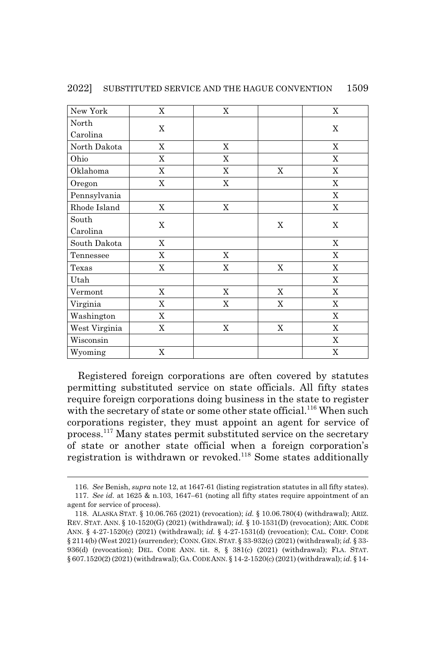| New York      | $\mathbf X$ | $\mathbf X$ |             | $\mathbf X$ |
|---------------|-------------|-------------|-------------|-------------|
| North         | X           |             |             |             |
| Carolina      |             |             |             | $\mathbf X$ |
| North Dakota  | $\mathbf X$ | X           |             | $\mathbf X$ |
| Ohio          | X           | X           |             | $\mathbf X$ |
| Oklahoma      | $\mathbf X$ | X           | X           | X           |
| Oregon        | $\mathbf X$ | $\mathbf X$ |             | X           |
| Pennsylvania  |             |             |             | $\mathbf X$ |
| Rhode Island  | $\mathbf X$ | X           |             | $\mathbf X$ |
| South         |             |             | $\mathbf X$ | $\mathbf X$ |
| Carolina      | $\mathbf X$ |             |             |             |
| South Dakota  | $\mathbf X$ |             |             | $\mathbf X$ |
| Tennessee     | X           | X           |             | X           |
| Texas         | X           | X           | X           | $\mathbf X$ |
| Utah          |             |             |             | X           |
| Vermont       | X           | X           | X           | X           |
| Virginia      | $\mathbf X$ | $\mathbf X$ | $\mathbf X$ | $\mathbf X$ |
| Washington    | X           |             |             | $\mathbf X$ |
| West Virginia | X           | X           | X           | X           |
| Wisconsin     |             |             |             | $\mathbf X$ |
| Wyoming       | $\mathbf X$ |             |             | $\mathbf X$ |

2022] SUBSTITUTED SERVICE AND THE HAGUE CONVENTION 1509

Registered foreign corporations are often covered by statutes permitting substituted service on state officials. All fifty states require foreign corporations doing business in the state to register with the secretary of state or some other state official.<sup>116</sup> When such corporations register, they must appoint an agent for service of process.117 Many states permit substituted service on the secretary of state or another state official when a foreign corporation's registration is withdrawn or revoked.118 Some states additionally

<sup>116.</sup> *See* Benish, *supra* note 12, at 1647-61 (listing registration statutes in all fifty states).

<sup>117.</sup> *See id.* at 1625 & n.103, 1647–61 (noting all fifty states require appointment of an agent for service of process).

<sup>118.</sup> ALASKA STAT. § 10.06.765 (2021) (revocation); *id.* § 10.06.780(4) (withdrawal); ARIZ. REV. STAT. ANN. § 10-1520(G) (2021) (withdrawal); *id.* § 10-1531(D) (revocation); ARK. CODE ANN. § 4-27-1520(c) (2021) (withdrawal); *id.* § 4-27-1531(d) (revocation); CAL. CORP. CODE § 2114(b) (West 2021) (surrender); CONN. GEN. STAT. § 33-932(c) (2021) (withdrawal); *id.* § 33- 936(d) (revocation); DEL. CODE ANN. tit. 8, § 381(c) (2021) (withdrawal); FLA. STAT. § 607.1520(2) (2021) (withdrawal); GA.CODE ANN. § 14-2-1520(c) (2021) (withdrawal); *id.* § 14-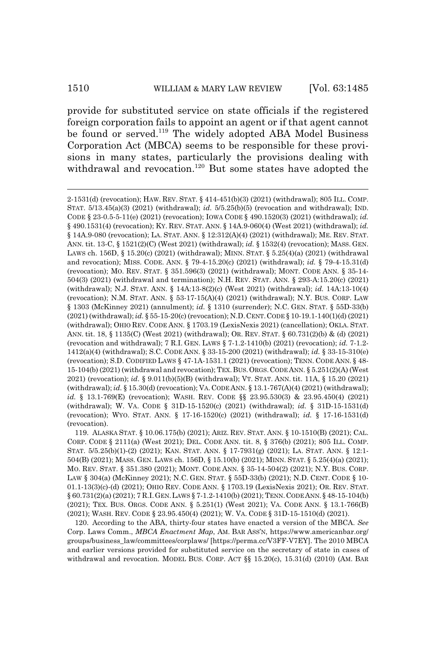provide for substituted service on state officials if the registered foreign corporation fails to appoint an agent or if that agent cannot be found or served.<sup>119</sup> The widely adopted ABA Model Business Corporation Act (MBCA) seems to be responsible for these provisions in many states, particularly the provisions dealing with withdrawal and revocation.<sup>120</sup> But some states have adopted the

119. ALASKA STAT. § 10.06.175(b) (2021); ARIZ. REV. STAT. ANN. § 10-1510(B) (2021); CAL. CORP. CODE § 2111(a) (West 2021); DEL. CODE ANN. tit. 8, § 376(b) (2021); 805 ILL. COMP. STAT. 5/5.25(b)(1)-(2) (2021); KAN. STAT. ANN. § 17-7931(g) (2021); LA. STAT. ANN. § 12:1- 504(B) (2021); MASS. GEN. LAWS ch. 156D, § 15.10(b) (2021); MINN. STAT. § 5.25(4)(a) (2021); MO. REV. STAT. § 351.380 (2021); MONT. CODE ANN. § 35-14-504(2) (2021); N.Y. BUS. CORP. LAW § 304(a) (McKinney 2021); N.C. GEN. STAT. § 55D-33(b) (2021); N.D. CENT. CODE § 10- 01.1-13(3)(c)-(d) (2021); OHIO REV. CODE ANN. § 1703.19 (LexisNexis 2021); OR. REV. STAT. § 60.731(2)(a) (2021); 7 R.I.GEN.LAWS § 7-1.2-1410(b) (2021); TENN.CODE ANN.§ 48-15-104(b) (2021); TEX. BUS. ORGS. CODE ANN. § 5.251(1) (West 2021); VA. CODE ANN. § 13.1-766(B) (2021); WASH. REV. CODE § 23.95.450(4) (2021); W. VA. CODE § 31D-15-1510(d) (2021).

120. According to the ABA, thirty-four states have enacted a version of the MBCA. *See* Corp. Laws Comm., *MBCA Enactment Map*, AM. BAR ASS'N, https://www.americanbar.org/ groups/business\_law/committees/corplaws/ [https://perma.cc/V3FF-V7EY]. The 2010 MBCA and earlier versions provided for substituted service on the secretary of state in cases of withdrawal and revocation. MODEL BUS. CORP. ACT §§ 15.20(c), 15.31(d) (2010) (AM. BAR

<sup>2-1531(</sup>d) (revocation); HAW. REV. STAT. § 414-451(b)(3) (2021) (withdrawal); 805 ILL. COMP. STAT. 5/13.45(a)(3) (2021) (withdrawal); *id.* 5/5.25(b)(5) (revocation and withdrawal); IND. CODE § 23-0.5-5-11(e) (2021) (revocation); IOWA CODE § 490.1520(3) (2021) (withdrawal); *id.* § 490.1531(4) (revocation); KY. REV. STAT. ANN. § 14A.9-060(4) (West 2021) (withdrawal); *id.* § 14A.9-080 (revocation); LA. STAT. ANN. § 12:312(A)(4) (2021) (withdrawal); ME. REV. STAT. ANN. tit. 13-C, § 1521(2)(C) (West 2021) (withdrawal); *id.* § 1532(4) (revocation); MASS. GEN. LAWS ch. 156D, § 15.20(c) (2021) (withdrawal); MINN. STAT. § 5.25(4)(a) (2021) (withdrawal and revocation); MISS. CODE. ANN. § 79-4-15.20(c) (2021) (withdrawal); *id.* § 79-4-15.31(d) (revocation); MO. REV. STAT. § 351.596(3) (2021) (withdrawal); MONT. CODE ANN. § 35-14- 504(3) (2021) (withdrawal and termination); N.H. REV. STAT. ANN. § 293-A:15.20(c) (2021) (withdrawal); N.J. STAT. ANN. § 14A:13-8(2)(c) (West 2021) (withdrawal); *id.* 14A:13-10(4) (revocation); N.M. STAT. ANN. § 53-17-15(A)(4) (2021) (withdrawal); N.Y. BUS. CORP. LAW § 1303 (McKinney 2021) (annulment); *id.* § 1310 (surrender); N.C. GEN. STAT. § 55D-33(b) (2021) (withdrawal); *id.* § 55-15-20(c) (revocation); N.D.CENT.CODE § 10-19.1-140(1)(d) (2021) (withdrawal); OHIO REV. CODE ANN. § 1703.19 (LexisNexis 2021) (cancellation); OKLA. STAT. ANN. tit. 18, § 1135(C) (West 2021) (withdrawal); OR. REV. STAT. § 60.731(2)(b) & (d) (2021) (revocation and withdrawal); 7 R.I. GEN. LAWS § 7-1.2-1410(b) (2021) (revocation); *id.* 7-1.2- 1412(a)(4) (withdrawal); S.C. CODE ANN. § 33-15-200 (2021) (withdrawal); *id.* § 33-15-310(e) (revocation); S.D. CODIFIED LAWS § 47-1A-1531.1 (2021) (revocation); TENN. CODE ANN. § 48- 15-104(b) (2021) (withdrawal and revocation); TEX.BUS.ORGS.CODE ANN. § 5.251(2)(A) (West 2021) (revocation); *id.* § 9.011(b)(5)(B) (withdrawal); VT. STAT. ANN. tit. 11A, § 15.20 (2021) (withdrawal); *id.* § 15.30(d) (revocation); VA.CODE ANN. § 13.1-767(A)(4) (2021) (withdrawal); *id.* § 13.1-769(E) (revocation); WASH. REV. CODE §§ 23.95.530(3) & 23.95.450(4) (2021) (withdrawal); W. VA. CODE § 31D-15-1520(c) (2021) (withdrawal); *id.* § 31D-15-1531(d) (revocation); WYO. STAT. ANN. § 17-16-1520(c) (2021) (withdrawal); *id.* § 17-16-1531(d) (revocation).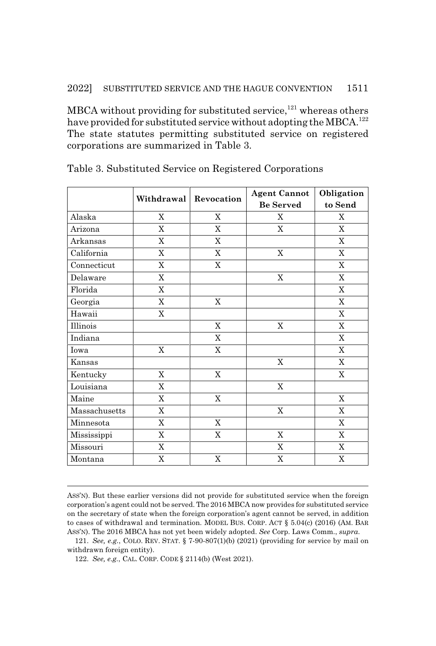MBCA without providing for substituted service,<sup>121</sup> whereas others have provided for substituted service without adopting the MBCA.<sup>122</sup> The state statutes permitting substituted service on registered corporations are summarized in Table 3.

|               | Withdrawal   Revocation |             | <b>Agent Cannot</b> | Obligation     |
|---------------|-------------------------|-------------|---------------------|----------------|
|               |                         |             | <b>Be Served</b>    | to Send        |
| Alaska        | $\mathbf X$             | $\mathbf X$ | X                   | $\mathbf X$    |
| Arizona       | X                       | $\mathbf X$ | $\mathbf X$         | $\mathbf X$    |
| Arkansas      | $\mathbf X$             | X           |                     | $\mathbf X$    |
| California    | $\mathbf X$             | $\mathbf X$ | $\mathbf X$         | $\mathbf X$    |
| Connecticut   | X                       | X           |                     | $\mathbf X$    |
| Delaware      | $\mathbf X$             |             | $\mathbf X$         | $\mathbf X$    |
| Florida       | $\mathbf X$             |             |                     | $\mathbf X$    |
| Georgia       | $\mathbf X$             | $\mathbf X$ |                     | $\mathbf X$    |
| Hawaii        | $\mathbf X$             |             |                     | $\mathbf X$    |
| Illinois      |                         | $\mathbf X$ | X                   | $\mathbf X$    |
| Indiana       |                         | $\mathbf X$ |                     | $\mathbf X$    |
| Iowa          | $\mathbf X$             | $\mathbf X$ |                     | $\mathbf X$    |
| Kansas        |                         |             | $\mathbf X$         | X              |
| Kentucky      | $\mathbf X$             | $\mathbf X$ |                     | $\mathbf X$    |
| Louisiana     | $\mathbf X$             |             | $\mathbf X$         |                |
| Maine         | X                       | X           |                     | X              |
| Massachusetts | $\mathbf X$             |             | $\mathbf X$         | $\mathbf X$    |
| Minnesota     | $\mathbf X$             | $\mathbf X$ |                     | $\mathbf X$    |
| Mississippi   | $\mathbf X$             | X           | X                   | $\mathbf X$    |
| Missouri      | $\mathbf X$             |             | $\mathbf X$         | $\overline{X}$ |
| Montana       | X                       | $\mathbf X$ | X                   | X              |

### Table 3. Substituted Service on Registered Corporations

122. *See, e.g.*, CAL. CORP. CODE § 2114(b) (West 2021).

ASS'N). But these earlier versions did not provide for substituted service when the foreign corporation's agent could not be served. The 2016 MBCA now provides for substituted service on the secretary of state when the foreign corporation's agent cannot be served, in addition to cases of withdrawal and termination. MODEL BUS. CORP. ACT § 5.04(c) (2016) (AM. BAR ASS'N). The 2016 MBCA has not yet been widely adopted. *See* Corp. Laws Comm., *supra*.

<sup>121.</sup> *See, e.g.*, COLO. REV. STAT. § 7-90-807(1)(b) (2021) (providing for service by mail on withdrawn foreign entity).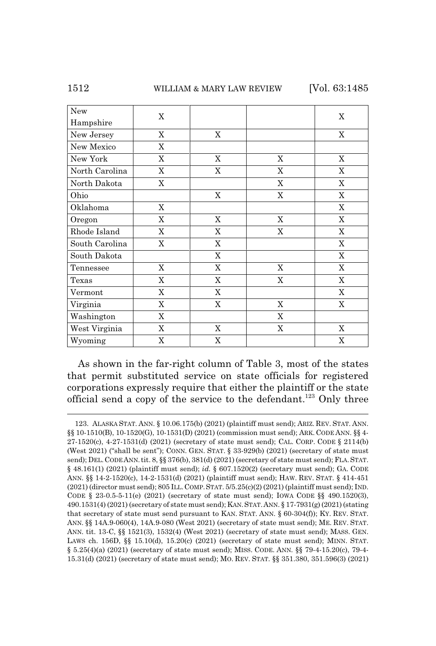| New            |             |             |             |             |
|----------------|-------------|-------------|-------------|-------------|
| Hampshire      | $\mathbf X$ |             |             | X           |
| New Jersey     | X           | X           |             | $\mathbf X$ |
| New Mexico     | $\mathbf X$ |             |             |             |
| New York       | X           | X           | X           | X           |
| North Carolina | X           | $\mathbf X$ | X           | X           |
| North Dakota   | X           |             | X           | $\mathbf X$ |
| Ohio           |             | $\mathbf X$ | $\mathbf X$ | $\mathbf X$ |
| Oklahoma       | X           |             |             | $\mathbf X$ |
| Oregon         | $\mathbf X$ | $\mathbf X$ | $\mathbf X$ | $\mathbf X$ |
| Rhode Island   | $\mathbf X$ | $\mathbf X$ | X           | $\mathbf X$ |
| South Carolina | $\mathbf X$ | $\mathbf X$ |             | X           |
| South Dakota   |             | X           |             | X           |
| Tennessee      | X           | $\mathbf X$ | X           | $\mathbf X$ |
| Texas          | $\mathbf X$ | $\mathbf X$ | $\mathbf X$ | $\mathbf X$ |
| Vermont        | $\mathbf X$ | $\mathbf X$ |             | X           |
| Virginia       | $\mathbf X$ | $\mathbf X$ | X           | $\mathbf X$ |
| Washington     | $\mathbf X$ |             | X           |             |
| West Virginia  | X           | $\mathbf X$ | $\mathbf X$ | $\mathbf X$ |
| Wyoming        | X           | $\mathbf X$ |             | $\mathbf X$ |

As shown in the far-right column of Table 3, most of the states that permit substituted service on state officials for registered corporations expressly require that either the plaintiff or the state official send a copy of the service to the defendant.<sup>123</sup> Only three

<sup>123.</sup> ALASKA STAT. ANN. § 10.06.175(b) (2021) (plaintiff must send); ARIZ. REV. STAT. ANN. §§ 10-1510(B), 10-1520(G), 10-1531(D) (2021) (commission must send); ARK. CODE ANN. §§ 4- 27-1520(c), 4-27-1531(d) (2021) (secretary of state must send); CAL. CORP. CODE § 2114(b) (West 2021) ("shall be sent"); CONN. GEN. STAT. § 33-929(b) (2021) (secretary of state must send); DEL. CODE ANN. tit. 8, §§ 376(b), 381(d) (2021) (secretary of state must send); FLA. STAT. § 48.161(1) (2021) (plaintiff must send); *id.* § 607.1520(2) (secretary must send); GA. CODE ANN. §§ 14-2-1520(c), 14-2-1531(d) (2021) (plaintiff must send); HAW. REV. STAT. § 414-451 (2021) (director must send); 805 ILL.COMP.STAT. 5/5.25(c)(2) (2021) (plaintiff must send); IND. CODE § 23-0.5-5-11(e) (2021) (secretary of state must send); IOWA CODE §§ 490.1520(3), 490.1531(4) (2021) (secretary of state must send); KAN.STAT.ANN. § 17-7931(g) (2021) (stating that secretary of state must send pursuant to KAN. STAT. ANN. § 60-304(f)); KY. REV. STAT. ANN. §§ 14A.9-060(4), 14A.9-080 (West 2021) (secretary of state must send); ME. REV. STAT. ANN. tit. 13-C, §§ 1521(3), 1532(4) (West 2021) (secretary of state must send); MASS. GEN. LAWS ch. 156D, §§ 15.10(d), 15.20(c) (2021) (secretary of state must send); MINN. STAT. § 5.25(4)(a) (2021) (secretary of state must send); MISS. CODE. ANN. §§ 79-4-15.20(c), 79-4- 15.31(d) (2021) (secretary of state must send); MO. REV. STAT. §§ 351.380, 351.596(3) (2021)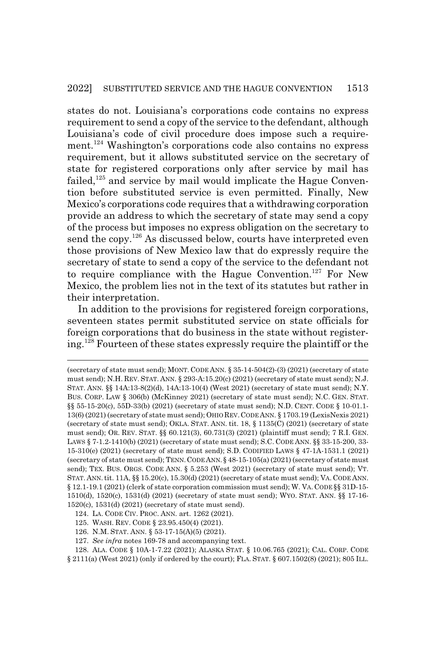states do not. Louisiana's corporations code contains no express requirement to send a copy of the service to the defendant, although Louisiana's code of civil procedure does impose such a requirement.124 Washington's corporations code also contains no express requirement, but it allows substituted service on the secretary of state for registered corporations only after service by mail has failed, $125$  and service by mail would implicate the Hague Convention before substituted service is even permitted. Finally, New Mexico's corporations code requires that a withdrawing corporation provide an address to which the secretary of state may send a copy of the process but imposes no express obligation on the secretary to send the copy.<sup>126</sup> As discussed below, courts have interpreted even those provisions of New Mexico law that do expressly require the secretary of state to send a copy of the service to the defendant not to require compliance with the Hague Convention.<sup>127</sup> For New Mexico, the problem lies not in the text of its statutes but rather in their interpretation.

In addition to the provisions for registered foreign corporations, seventeen states permit substituted service on state officials for foreign corporations that do business in the state without registering.128 Fourteen of these states expressly require the plaintiff or the

- 124. LA. CODE CIV. PROC. ANN. art. 1262 (2021).
- 125. WASH. REV. CODE § 23.95.450(4) (2021).
- 126. N.M. STAT. ANN. § 53-17-15(A)(5) (2021).
- 127. *See infra* notes 169-78 and accompanying text.

<sup>(</sup>secretary of state must send); MONT. CODE ANN. § 35-14-504(2)-(3) (2021) (secretary of state must send); N.H. REV. STAT. ANN. § 293-A:15.20(c) (2021) (secretary of state must send); N.J. STAT. ANN. §§ 14A:13-8(2)(d), 14A:13-10(4) (West 2021) (secretary of state must send); N.Y. BUS. CORP. LAW § 306(b) (McKinney 2021) (secretary of state must send); N.C. GEN. STAT. §§ 55-15-20(c), 55D-33(b) (2021) (secretary of state must send); N.D. CENT. CODE § 10-01.1- 13(6) (2021) (secretary of state must send); OHIO REV.CODE ANN. § 1703.19 (LexisNexis 2021) (secretary of state must send); OKLA. STAT. ANN. tit. 18, § 1135(C) (2021) (secretary of state must send); OR. REV. STAT. §§ 60.121(3), 60.731(3) (2021) (plaintiff must send); 7 R.I. GEN. LAWS § 7-1.2-1410(b) (2021) (secretary of state must send); S.C. CODE ANN. §§ 33-15-200, 33- 15-310(e) (2021) (secretary of state must send); S.D. CODIFIED LAWS § 47-1A-1531.1 (2021) (secretary of state must send); TENN.CODE ANN.§ 48-15-105(a) (2021) (secretary of state must send); TEX. BUS. ORGS. CODE ANN. § 5.253 (West 2021) (secretary of state must send); VT. STAT. ANN. tit. 11A, §§ 15.20(c), 15.30(d) (2021) (secretary of state must send); VA. CODE ANN. § 12.1-19.1 (2021) (clerk of state corporation commission must send); W. VA. CODE §§ 31D-15- 1510(d), 1520(c), 1531(d) (2021) (secretary of state must send); WYO. STAT. ANN. §§ 17-16- 1520(c), 1531(d) (2021) (secretary of state must send).

<sup>128.</sup> ALA. CODE § 10A-1-7.22 (2021); ALASKA STAT. § 10.06.765 (2021); CAL. CORP. CODE § 2111(a) (West 2021) (only if ordered by the court); FLA. STAT. § 607.1502(8) (2021); 805 ILL.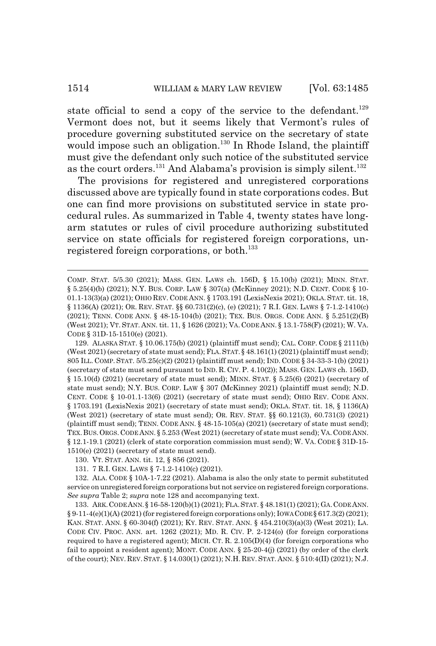#### 1514 WILLIAM & MARY LAW REVIEW [Vol. 63:1485]

state official to send a copy of the service to the defendant.<sup>129</sup> Vermont does not, but it seems likely that Vermont's rules of procedure governing substituted service on the secretary of state would impose such an obligation.<sup>130</sup> In Rhode Island, the plaintiff must give the defendant only such notice of the substituted service as the court orders.<sup>131</sup> And Alabama's provision is simply silent.<sup>132</sup>

The provisions for registered and unregistered corporations discussed above are typically found in state corporations codes. But one can find more provisions on substituted service in state procedural rules. As summarized in Table 4, twenty states have longarm statutes or rules of civil procedure authorizing substituted service on state officials for registered foreign corporations, unregistered foreign corporations, or both.<sup>133</sup>

129. ALASKA STAT. § 10.06.175(b) (2021) (plaintiff must send); CAL. CORP. CODE § 2111(b) (West 2021) (secretary of state must send); FLA.STAT.§ 48.161(1) (2021) (plaintiff must send); 805 ILL. COMP. STAT. 5/5.25(c)(2) (2021) (plaintiff must send); IND. CODE § 34-33-3-1(b) (2021) (secretary of state must send pursuant to IND. R. CIV. P. 4.10(2)); MASS. GEN. LAWS ch. 156D, § 15.10(d) (2021) (secretary of state must send); MINN. STAT. § 5.25(6) (2021) (secretary of state must send); N.Y. BUS. CORP. LAW § 307 (McKinney 2021) (plaintiff must send); N.D. CENT. CODE § 10-01.1-13(6) (2021) (secretary of state must send); OHIO REV. CODE ANN. § 1703.191 (LexisNexis 2021) (secretary of state must send); OKLA. STAT. tit. 18, § 1136(A) (West 2021) (secretary of state must send); OR. REV. STAT. §§ 60.121(3), 60.731(3) (2021) (plaintiff must send); TENN. CODE ANN. § 48-15-105(a) (2021) (secretary of state must send); TEX.BUS.ORGS. CODE ANN. § 5.253 (West 2021) (secretary of state must send); VA.CODE ANN. § 12.1-19.1 (2021) (clerk of state corporation commission must send); W. VA. CODE § 31D-15- 1510(e) (2021) (secretary of state must send).

133. ARK.CODE ANN.§ 16-58-120(b)(1) (2021); FLA.STAT. § 48.181(1) (2021); GA.CODE ANN.  $\S 9-11-4(e)(1)(A)(2021)$  (for registered foreign corporations only); IOWA CODE  $\S 617.3(2)(2021)$ ; KAN. STAT. ANN. § 60-304(f) (2021); KY. REV. STAT. ANN. § 454.210(3)(a)(3) (West 2021); LA. CODE CIV. PROC. ANN. art. 1262 (2021); MD. R. CIV. P. 2-124(o) (for foreign corporations required to have a registered agent); MICH. CT. R.  $2.105(D)(4)$  (for foreign corporations who fail to appoint a resident agent); MONT. CODE ANN. § 25-20-4(j) (2021) (by order of the clerk of the court); NEV. REV. STAT. § 14.030(1) (2021); N.H. REV. STAT. ANN. § 510:4(II) (2021); N.J.

COMP. STAT. 5/5.30 (2021); MASS. GEN. LAWS ch. 156D, § 15.10(b) (2021); MINN. STAT. § 5.25(4)(b) (2021); N.Y. BUS. CORP. LAW § 307(a) (McKinney 2021); N.D. CENT. CODE § 10-01.1-13(3)(a) (2021); OHIO REV. CODE ANN. § 1703.191 (LexisNexis 2021); OKLA. STAT. tit. 18, § 1136(A) (2021); OR. REV. STAT. §§ 60.731(2)(c), (e) (2021); 7 R.I. GEN. LAWS § 7-1.2-1410(c) (2021); TENN. CODE ANN. § 48-15-104(b) (2021); TEX. BUS. ORGS. CODE ANN. § 5.251(2)(B) (West 2021); VT. STAT. ANN. tit. 11, § 1626 (2021); VA. CODE ANN. § 13.1-758(F) (2021); W. VA. CODE § 31D-15-1510(e) (2021).

<sup>130.</sup> VT. STAT. ANN. tit. 12, § 856 (2021).

<sup>131. 7</sup> R.I. GEN. LAWS § 7-1.2-1410(c) (2021).

<sup>132.</sup> ALA. CODE § 10A-1-7.22 (2021). Alabama is also the only state to permit substituted service on unregistered foreign corporations but not service on registered foreign corporations. *See supra* Table 2; *supra* note 128 and accompanying text.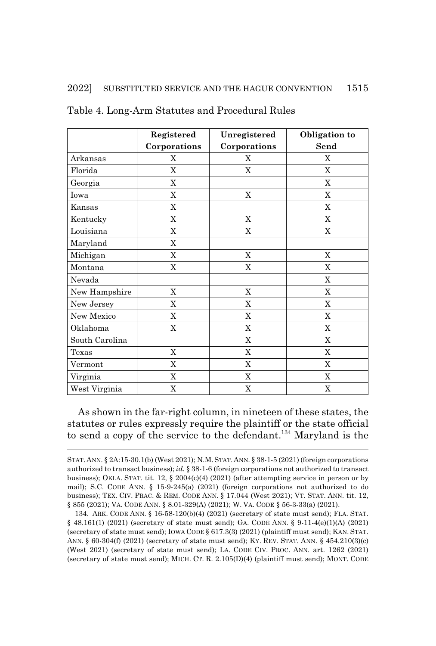|                | Registered     | Unregistered | Obligation to  |
|----------------|----------------|--------------|----------------|
|                | Corporations   | Corporations | Send           |
| Arkansas       | X              | X            | X              |
| Florida        | X              | X            | X              |
| Georgia        | $\mathbf X$    |              | X              |
| Iowa           | $\mathbf X$    | X            | X              |
| Kansas         | X              |              | X              |
| Kentucky       | X              | X            | X              |
| Louisiana      | X              | X            | X              |
| Maryland       | X              |              |                |
| Michigan       | X              | X            | $\mathbf X$    |
| Montana        | X              | X            | X              |
| Nevada         |                |              | $\mathbf X$    |
| New Hampshire  | $\mathbf X$    | X            | $\mathbf X$    |
| New Jersey     | X              | X            | X              |
| New Mexico     | X              | X            | X              |
| Oklahoma       | $\overline{X}$ | $\mathbf X$  | $\overline{X}$ |
| South Carolina |                | X            | X              |
| Texas          | X              | X            | X              |
| Vermont        | $\mathbf X$    | X            | $\mathbf X$    |
| Virginia       | $\mathbf X$    | X            | $\mathbf X$    |
| West Virginia  | X              | X            | X              |

Table 4. Long-Arm Statutes and Procedural Rules

As shown in the far-right column, in nineteen of these states, the statutes or rules expressly require the plaintiff or the state official to send a copy of the service to the defendant.<sup>134</sup> Maryland is the

STAT.ANN. § 2A:15-30.1(b) (West 2021); N.M.STAT.ANN. § 38-1-5 (2021) (foreign corporations authorized to transact business); *id.* § 38-1-6 (foreign corporations not authorized to transact business); OKLA. STAT. tit. 12, § 2004(c)(4) (2021) (after attempting service in person or by mail); S.C. CODE ANN. § 15-9-245(a) (2021) (foreign corporations not authorized to do business); TEX. CIV. PRAC.&REM. CODE ANN. § 17.044 (West 2021); VT. STAT. ANN. tit. 12, § 855 (2021); VA. CODE ANN. § 8.01-329(A) (2021); W. VA. CODE § 56-3-33(a) (2021).

<sup>134.</sup> ARK. CODE ANN. § 16-58-120(b)(4) (2021) (secretary of state must send); FLA. STAT. § 48.161(1) (2021) (secretary of state must send); GA. CODE ANN. § 9-11-4(e)(1)(A) (2021) (secretary of state must send); IOWA CODE § 617.3(3) (2021) (plaintiff must send); KAN. STAT. ANN. § 60-304(f) (2021) (secretary of state must send); KY. REV. STAT. ANN. § 454.210(3)(c) (West 2021) (secretary of state must send); LA. CODE CIV. PROC. ANN. art. 1262 (2021) (secretary of state must send); MICH. CT. R. 2.105(D)(4) (plaintiff must send); MONT. CODE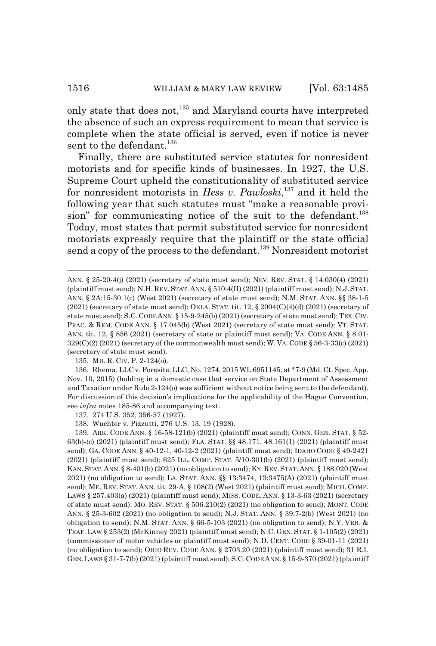only state that does not,<sup>135</sup> and Maryland courts have interpreted the absence of such an express requirement to mean that service is complete when the state official is served, even if notice is never sent to the defendant.<sup>136</sup>

Finally, there are substituted service statutes for nonresident motorists and for specific kinds of businesses. In 1927, the U.S. Supreme Court upheld the constitutionality of substituted service for nonresident motorists in *Hess v. Pawloski*, 137 and it held the following year that such statutes must "make a reasonable provision" for communicating notice of the suit to the defendant.<sup>138</sup> Today, most states that permit substituted service for nonresident motorists expressly require that the plaintiff or the state official send a copy of the process to the defendant.<sup>139</sup> Nonresident motorist

135. MD. R. CIV. P. 2-124(o).

136. Rhema, LLC v. Foresite, LLC, No. 1274, 2015 WL 6951145, at \*7-9 (Md. Ct. Spec. App. Nov. 10, 2015) (holding in a domestic case that service on State Department of Assessment and Taxation under Rule 2-124(o) was sufficient without notice being sent to the defendant). For discussion of this decision's implications for the applicability of the Hague Convention, see *infra* notes 185-86 and accompanying text.

137. 274 U.S. 352, 356-57 (1927).

138. Wuchter v. Pizzutti, 276 U.S. 13, 19 (1928).

139. ARK. CODE ANN. § 16-58-121(b) (2021) (plaintiff must send); CONN. GEN. STAT. § 52- 63(b)-(c) (2021) (plaintiff must send); FLA. STAT. §§ 48.171, 48.161(1) (2021) (plaintiff must send); GA. CODE ANN. § 40-12-1, 40-12-2 (2021) (plaintiff must send); IDAHO CODE § 49-2421 (2021) (plaintiff must send); 625 ILL. COMP. STAT. 5/10-301(b) (2021) (plaintiff must send); KAN.STAT.ANN.§ 8-401(b) (2021) (no obligation to send); KY.REV.STAT.ANN. § 188.020 (West 2021) (no obligation to send); LA. STAT. ANN. §§ 13:3474, 13:3475(A) (2021) (plaintiff must send); ME. REV. STAT. ANN. tit. 29-A, § 108(2) (West 2021) (plaintiff must send); MICH. COMP. LAWS § 257.403(a) (2021) (plaintiff must send); MISS. CODE. ANN. § 13-3-63 (2021) (secretary of state must send); MO. REV. STAT. § 506.210(2) (2021) (no obligation to send); MONT. CODE ANN. § 25-3-602 (2021) (no obligation to send); N.J. STAT. ANN. § 39:7-2(b) (West 2021) (no obligation to send); N.M. STAT. ANN. § 66-5-103 (2021) (no obligation to send); N.Y. VEH. & TRAF. LAW § 253(2) (McKinney 2021) (plaintiff must send); N.C. GEN. STAT. § 1-105(2) (2021) (commissioner of motor vehicles or plaintiff must send); N.D. CENT. CODE § 39-01-11 (2021) (no obligation to send); OHIO REV. CODE ANN. § 2703.20 (2021) (plaintiff must send); 31 R.I. GEN.LAWS § 31-7-7(b) (2021) (plaintiff must send); S.C.CODE ANN. § 15-9-370 (2021) (plaintiff

ANN. § 25-20-4(j) (2021) (secretary of state must send); NEV. REV. STAT. § 14.030(4) (2021) (plaintiff must send); N.H. REV. STAT. ANN. § 510:4(II) (2021) (plaintiff must send); N.J.STAT. ANN. § 2A:15-30.1(c) (West 2021) (secretary of state must send); N.M. STAT. ANN. §§ 38-1-5  $(2021)$  (secretary of state must send); OKLA. STAT. tit. 12, §  $2004(C)(4)(d)$  (2021) (secretary of state must send); S.C.CODE ANN. § 15-9-245(b) (2021) (secretary of state must send); TEX.CIV. PRAC. & REM. CODE ANN. § 17.045(b) (West 2021) (secretary of state must send); VT. STAT. ANN. tit. 12, § 856 (2021) (secretary of state or plaintiff must send); VA. CODE ANN. § 8.01- 329(C)(2) (2021) (secretary of the commonwealth must send); W. VA. CODE § 56-3-33(c) (2021) (secretary of state must send).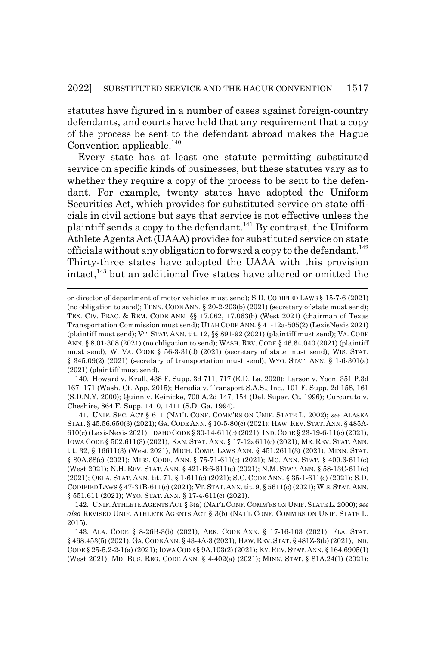statutes have figured in a number of cases against foreign-country defendants, and courts have held that any requirement that a copy of the process be sent to the defendant abroad makes the Hague Convention applicable. $^{140}$ 

Every state has at least one statute permitting substituted service on specific kinds of businesses, but these statutes vary as to whether they require a copy of the process to be sent to the defendant. For example, twenty states have adopted the Uniform Securities Act, which provides for substituted service on state officials in civil actions but says that service is not effective unless the plaintiff sends a copy to the defendant.141 By contrast, the Uniform Athlete Agents Act (UAAA) provides for substituted service on state officials without any obligation to forward a copy to the defendant.<sup>142</sup> Thirty-three states have adopted the UAAA with this provision intact,<sup>143</sup> but an additional five states have altered or omitted the

140. Howard v. Krull, 438 F. Supp. 3d 711, 717 (E.D. La. 2020); Larson v. Yoon, 351 P.3d 167, 171 (Wash. Ct. App. 2015); Heredia v. Transport S.A.S., Inc., 101 F. Supp. 2d 158, 161 (S.D.N.Y. 2000); Quinn v. Keinicke, 700 A.2d 147, 154 (Del. Super. Ct. 1996); Curcuruto v. Cheshire, 864 F. Supp. 1410, 1411 (S.D. Ga. 1994).

141. UNIF. SEC. ACT § 611 (NAT'L CONF. COMM'RS ON UNIF. STATE L. 2002); *see* ALASKA STAT. § 45.56.650(3) (2021); GA. CODE ANN. § 10-5-80(c) (2021); HAW. REV. STAT. ANN. § 485A-610(c) (LexisNexis 2021); IDAHO CODE § 30-14-611(c) (2021); IND.CODE § 23-19-6-11(c) (2021); IOWA CODE § 502.611(3) (2021); KAN. STAT. ANN. § 17-12a611(c) (2021); ME. REV. STAT. ANN. tit. 32, § 16611(3) (West 2021); MICH. COMP. LAWS ANN. § 451.2611(3) (2021); MINN. STAT. § 80A.88(c) (2021); MISS. CODE. ANN. § 75-71-611(c) (2021); MO. ANN. STAT. § 409.6-611(c) (West 2021); N.H. REV. STAT. ANN. § 421-B:6-611(c) (2021); N.M. STAT. ANN. § 58-13C-611(c) (2021); OKLA. STAT. ANN. tit. 71, § 1-611(c) (2021); S.C. CODE ANN. § 35-1-611(c) (2021); S.D. CODIFIED LAWS § 47-31B-611(c) (2021); VT.STAT.ANN. tit. 9, § 5611(c) (2021); WIS.STAT.ANN. § 551.611 (2021); WYO. STAT. ANN. § 17-4-611(c) (2021).

142. UNIF. ATHLETE AGENTS ACT § 3(a) (NAT'L CONF. COMM'RS ON UNIF. STATE L. 2000); *see also* REVISED UNIF. ATHLETE AGENTS ACT § 3(b) (NAT'L CONF. COMM'RS ON UNIF. STATE L. 2015).

143. ALA. CODE § 8-26B-3(b) (2021); ARK. CODE ANN. § 17-16-103 (2021); FLA. STAT. § 468.453(5) (2021); GA.CODE ANN. § 43-4A-3 (2021); HAW.REV.STAT. § 481Z-3(b) (2021); IND. CODE § 25-5.2-2-1(a) (2021); IOWA CODE § 9A.103(2) (2021); KY. REV. STAT. ANN. § 164.6905(1) (West 2021); MD. BUS. REG. CODE ANN. § 4-402(a) (2021); MINN. STAT. § 81A.24(1) (2021);

or director of department of motor vehicles must send); S.D. CODIFIED LAWS § 15-7-6 (2021) (no obligation to send); TENN. CODE ANN. § 20-2-203(b) (2021) (secretary of state must send); TEX. CIV. PRAC.&REM. CODE ANN. §§ 17.062, 17.063(b) (West 2021) (chairman of Texas Transportation Commission must send); UTAH CODE ANN. § 41-12a-505(2) (LexisNexis 2021) (plaintiff must send); VT. STAT. ANN. tit. 12, §§ 891-92 (2021) (plaintiff must send); VA. CODE ANN. § 8.01-308 (2021) (no obligation to send); WASH. REV. CODE § 46.64.040 (2021) (plaintiff must send); W. VA. CODE § 56-3-31(d) (2021) (secretary of state must send); WIS. STAT. § 345.09(2) (2021) (secretary of transportation must send); WYO. STAT. ANN. § 1-6-301(a) (2021) (plaintiff must send).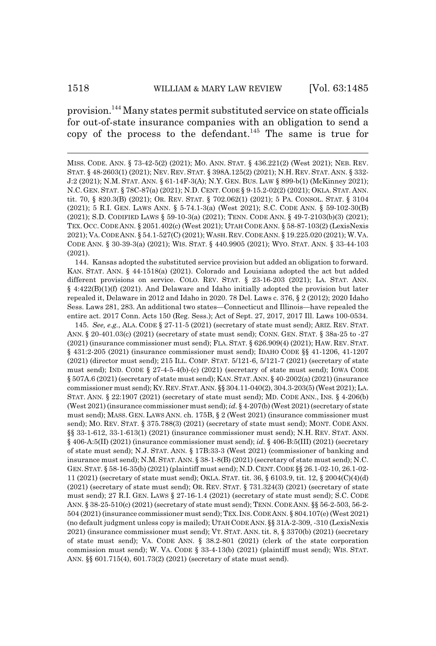### 1518 WILLIAM & MARY LAW REVIEW [Vol. 63:1485]

provision.144 Many states permit substituted service on state officials for out-of-state insurance companies with an obligation to send a copy of the process to the defendant.<sup>145</sup> The same is true for

144. Kansas adopted the substituted service provision but added an obligation to forward. KAN. STAT. ANN. § 44-1518(a) (2021). Colorado and Louisiana adopted the act but added different provisions on service. COLO. REV. STAT. § 23-16-203 (2021); LA. STAT. ANN. § 4:422(B)(1)(f) (2021). And Delaware and Idaho initially adopted the provision but later repealed it, Delaware in 2012 and Idaho in 2020. 78 Del. Laws c. 376, § 2 (2012); 2020 Idaho Sess. Laws 281, 283. An additional two states—Connecticut and Illinois—have repealed the entire act. 2017 Conn. Acts 150 (Reg. Sess.); Act of Sept. 27, 2017, 2017 Ill. Laws 100-0534.

145. *See, e.g.*, ALA. CODE § 27-11-5 (2021) (secretary of state must send); ARIZ. REV. STAT. ANN. § 20-401.03(c) (2021) (secretary of state must send); CONN. GEN. STAT. § 38a-25 to -27 (2021) (insurance commissioner must send); FLA. STAT. § 626.909(4) (2021); HAW. REV. STAT. § 431:2-205 (2021) (insurance commissioner must send); IDAHO CODE §§ 41-1206, 41-1207 (2021) (director must send); 215 ILL. COMP. STAT. 5/121-6, 5/121-7 (2021) (secretary of state must send); IND. CODE § 27-4-5-4(b)-(c) (2021) (secretary of state must send); IOWA CODE § 507A.6 (2021) (secretary of state must send); KAN.STAT.ANN. § 40-2002(a) (2021) (insurance commissioner must send); KY.REV.STAT.ANN. §§ 304.11-040(2), 304.3-203(5) (West 2021); LA. STAT. ANN. § 22:1907 (2021) (secretary of state must send); MD. CODE ANN., INS. § 4-206(b) (West 2021) (insurance commissioner must send); *id.* § 4-207(b) (West 2021) (secretary of state must send); MASS. GEN. LAWS ANN. ch. 175B, § 2 (West 2021) (insurance commissioner must send); MO. REV. STAT. § 375.788(3) (2021) (secretary of state must send); MONT. CODE ANN. §§ 33-1-612, 33-1-613(1) (2021) (insurance commissioner must send); N.H. REV. STAT. ANN. § 406-A:5(II) (2021) (insurance commissioner must send); *id.* § 406-B:5(III) (2021) (secretary of state must send); N.J. STAT. ANN. § 17B:33-3 (West 2021) (commissioner of banking and insurance must send); N.M.STAT. ANN. § 38-1-8(B) (2021) (secretary of state must send); N.C. GEN.STAT. § 58-16-35(b) (2021) (plaintiff must send); N.D.CENT.CODE §§ 26.1-02-10, 26.1-02- 11 (2021) (secretary of state must send); OKLA. STAT. tit. 36, § 6103.9, tit. 12, § 2004(C)(4)(d) (2021) (secretary of state must send); OR. REV. STAT. § 731.324(3) (2021) (secretary of state must send); 27 R.I. GEN. LAWS § 27-16-1.4 (2021) (secretary of state must send); S.C. CODE ANN. § 38-25-510(c) (2021) (secretary of state must send); TENN.CODE ANN. §§ 56-2-503, 56-2- 504 (2021) (insurance commissioner must send); TEX.INS.CODE ANN. § 804.107(e) (West 2021) (no default judgment unless copy is mailed); UTAH CODE ANN. §§ 31A-2-309, -310 (LexisNexis 2021) (insurance commissioner must send); VT. STAT. ANN. tit. 8, § 3370(b) (2021) (secretary of state must send); VA. CODE ANN. § 38.2-801 (2021) (clerk of the state corporation commission must send); W. VA. CODE § 33-4-13(b) (2021) (plaintiff must send); WIS. STAT. ANN. §§ 601.715(4), 601.73(2) (2021) (secretary of state must send).

MISS. CODE. ANN. § 73-42-5(2) (2021); MO. ANN. STAT. § 436.221(2) (West 2021); NEB. REV. STAT. § 48-2603(1) (2021); NEV. REV. STAT. § 398A.125(2) (2021); N.H. REV. STAT. ANN. § 332- J:2 (2021); N.M. STAT. ANN. § 61-14F-3(A); N.Y. GEN. BUS. LAW § 899-b(1) (McKinney 2021); N.C. GEN. STAT. § 78C-87(a) (2021); N.D. CENT. CODE § 9-15.2-02(2) (2021); OKLA. STAT. ANN. tit. 70, § 820.3(B) (2021); OR. REV. STAT. § 702.062(1) (2021); 5 PA. CONSOL. STAT. § 3104 (2021); 5 R.I. GEN. LAWS ANN. § 5-74.1-3(a) (West 2021); S.C. CODE ANN. § 59-102-30(B) (2021); S.D. CODIFIED LAWS § 59-10-3(a) (2021); TENN. CODE ANN. § 49-7-2103(b)(3) (2021); TEX. OCC. CODE ANN. § 2051.402(c) (West 2021); UTAH CODE ANN. § 58-87-103(2) (LexisNexis 2021); VA.CODE ANN. § 54.1-527(C) (2021); WASH.REV.CODE ANN. § 19.225.020 (2021); W.VA. CODE ANN. § 30-39-3(a) (2021); WIS. STAT. § 440.9905 (2021); WYO. STAT. ANN. § 33-44-103 (2021).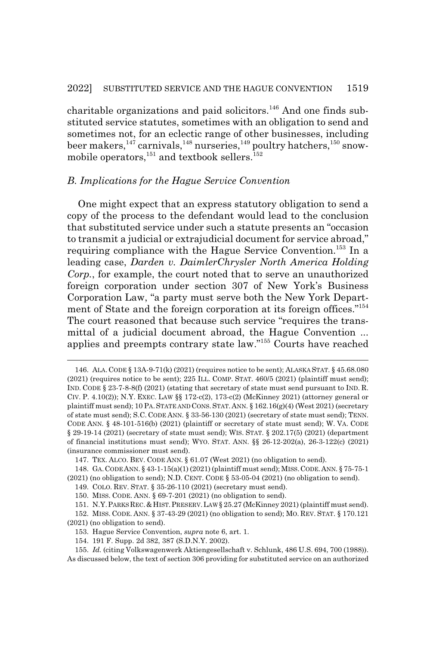charitable organizations and paid solicitors.<sup>146</sup> And one finds substituted service statutes, sometimes with an obligation to send and sometimes not, for an eclectic range of other businesses, including beer makers,  $147$  carnivals,  $148$  nurseries,  $149$  poultry hatchers,  $150$  snowmobile operators, $^{151}$  and textbook sellers. $^{152}$ 

### *B. Implications for the Hague Service Convention*

One might expect that an express statutory obligation to send a copy of the process to the defendant would lead to the conclusion that substituted service under such a statute presents an "occasion to transmit a judicial or extrajudicial document for service abroad," requiring compliance with the Hague Service Convention.<sup>153</sup> In a leading case, *Darden v. DaimlerChrysler North America Holding Corp.*, for example, the court noted that to serve an unauthorized foreign corporation under section 307 of New York's Business Corporation Law, "a party must serve both the New York Department of State and the foreign corporation at its foreign offices."<sup>154</sup> The court reasoned that because such service "requires the transmittal of a judicial document abroad, the Hague Convention ... applies and preempts contrary state law."155 Courts have reached

<sup>146.</sup> ALA. CODE § 13A-9-71(k) (2021) (requires notice to be sent); ALASKA STAT. § 45.68.080  $(2021)$  (requires notice to be sent); 225 ILL. COMP. STAT.  $460/5$   $(2021)$  (plaintiff must send); IND. CODE § 23-7-8-8(f) (2021) (stating that secretary of state must send pursuant to IND. R. CIV. P. 4.10(2)); N.Y. EXEC. LAW §§ 172-c(2), 173-c(2) (McKinney 2021) (attorney general or plaintiff must send); 10 PA. STATE AND CONS. STAT. ANN.  $\S$  162.16(g)(4) (West 2021) (secretary of state must send); S.C. CODE ANN. § 33-56-130 (2021) (secretary of state must send); TENN. CODE ANN. § 48-101-516(b) (2021) (plaintiff or secretary of state must send); W. VA. CODE § 29-19-14 (2021) (secretary of state must send); WIS. STAT. § 202.17(5) (2021) (department of financial institutions must send); WYO. STAT. ANN. §§ 26-12-202(a), 26-3-122(c) (2021) (insurance commissioner must send).

<sup>147.</sup> TEX. ALCO. BEV. CODE ANN. § 61.07 (West 2021) (no obligation to send).

<sup>148.</sup> GA.CODE ANN. § 43-1-15(a)(1) (2021) (plaintiff must send); MISS.CODE.ANN. § 75-75-1  $(2021)$  (no obligation to send); N.D. CENT. CODE § 53-05-04 (2021) (no obligation to send).

<sup>149.</sup> COLO. REV. STAT. § 35-26-110 (2021) (secretary must send).

<sup>150.</sup> MISS. CODE. ANN. § 69-7-201 (2021) (no obligation to send).

<sup>151.</sup> N.Y.PARKS REC.&HIST.PRESERV.LAW§ 25.27 (McKinney 2021) (plaintiff must send).

<sup>152.</sup> MISS. CODE. ANN. § 37-43-29 (2021) (no obligation to send); MO. REV. STAT. § 170.121 (2021) (no obligation to send).

<sup>153.</sup> Hague Service Convention, *supra* note 6, art. 1.

<sup>154. 191</sup> F. Supp. 2d 382, 387 (S.D.N.Y. 2002).

<sup>155.</sup> *Id.* (citing Volkswagenwerk Aktiengesellschaft v. Schlunk, 486 U.S. 694, 700 (1988)). As discussed below, the text of section 306 providing for substituted service on an authorized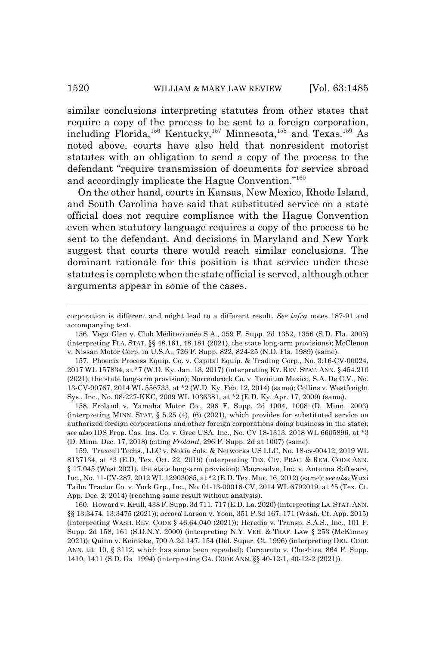similar conclusions interpreting statutes from other states that require a copy of the process to be sent to a foreign corporation, including Florida,<sup>156</sup> Kentucky,<sup>157</sup> Minnesota,<sup>158</sup> and Texas.<sup>159</sup> As noted above, courts have also held that nonresident motorist statutes with an obligation to send a copy of the process to the defendant "require transmission of documents for service abroad and accordingly implicate the Hague Convention."160

On the other hand, courts in Kansas, New Mexico, Rhode Island, and South Carolina have said that substituted service on a state official does not require compliance with the Hague Convention even when statutory language requires a copy of the process to be sent to the defendant. And decisions in Maryland and New York suggest that courts there would reach similar conclusions. The dominant rationale for this position is that service under these statutes is complete when the state official is served, although other arguments appear in some of the cases.

158. Froland v. Yamaha Motor Co., 296 F. Supp. 2d 1004, 1008 (D. Minn. 2003) (interpreting MINN. STAT.  $\S$  5.25 (4), (6) (2021), which provides for substituted service on authorized foreign corporations and other foreign corporations doing business in the state); *see also* IDS Prop. Cas. Ins. Co. v. Gree USA, Inc., No. CV 18-1313, 2018 WL 6605896, at \*3 (D. Minn. Dec. 17, 2018) (citing *Froland*, 296 F. Supp. 2d at 1007) (same).

159. Traxcell Techs., LLC v. Nokia Sols. & Networks US LLC, No. 18-cv-00412, 2019 WL 8137134, at \*3 (E.D. Tex. Oct. 22, 2019) (interpreting TEX. CIV. PRAC.&REM. CODE ANN. § 17.045 (West 2021), the state long-arm provision); Macrosolve, Inc. v. Antenna Software, Inc., No. 11-CV-287, 2012 WL 12903085, at \*2 (E.D. Tex. Mar. 16, 2012) (same); *see also* Wuxi Taihu Tractor Co. v. York Grp., Inc., No. 01-13-00016-CV, 2014 WL 6792019, at \*5 (Tex. Ct. App. Dec. 2, 2014) (reaching same result without analysis).

160. Howard v. Krull, 438 F. Supp. 3d 711, 717 (E.D. La. 2020) (interpreting LA.STAT.ANN. §§ 13:3474, 13:3475 (2021)); *accord* Larson v. Yoon, 351 P.3d 167, 171 (Wash. Ct. App. 2015) (interpreting WASH. REV. CODE § 46.64.040 (2021)); Heredia v. Transp. S.A.S., Inc., 101 F. Supp. 2d 158, 161 (S.D.N.Y. 2000) (interpreting N.Y. VEH.&TRAF. LAW § 253 (McKinney 2021)); Quinn v. Keinicke, 700 A.2d 147, 154 (Del. Super. Ct. 1996) (interpreting DEL. CODE ANN. tit. 10, § 3112, which has since been repealed); Curcuruto v. Cheshire, 864 F. Supp. 1410, 1411 (S.D. Ga. 1994) (interpreting GA. CODE ANN. §§ 40-12-1, 40-12-2 (2021)).

corporation is different and might lead to a different result. *See infra* notes 187-91 and accompanying text.

<sup>156.</sup> Vega Glen v. Club Méditerranée S.A., 359 F. Supp. 2d 1352, 1356 (S.D. Fla. 2005) (interpreting FLA. STAT. §§ 48.161, 48.181 (2021), the state long-arm provisions); McClenon v. Nissan Motor Corp. in U.S.A., 726 F. Supp. 822, 824-25 (N.D. Fla. 1989) (same).

<sup>157.</sup> Phoenix Process Equip. Co. v. Capital Equip. & Trading Corp., No. 3:16-CV-00024, 2017 WL 157834, at \*7 (W.D. Ky. Jan. 13, 2017) (interpreting KY. REV. STAT. ANN. § 454.210 (2021), the state long-arm provision); Norrenbrock Co. v. Ternium Mexico, S.A. De C.V., No. 13-CV-00767, 2014 WL 556733, at \*2 (W.D. Ky. Feb. 12, 2014) (same); Collins v. Westfreight Sys., Inc., No. 08-227-KKC, 2009 WL 1036381, at \*2 (E.D. Ky. Apr. 17, 2009) (same).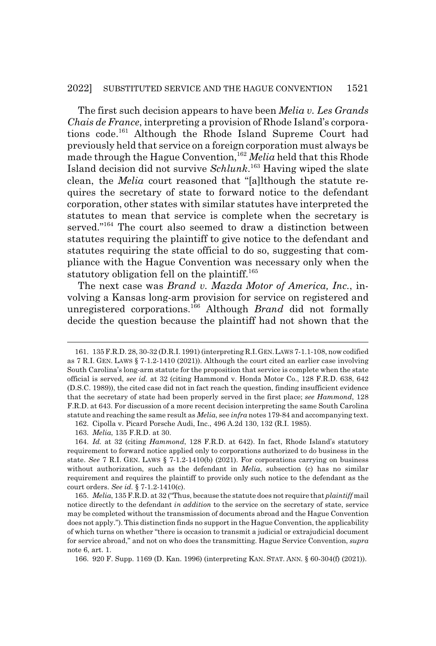The first such decision appears to have been *Melia v. Les Grands Chais de France*, interpreting a provision of Rhode Island's corporations code.161 Although the Rhode Island Supreme Court had previously held that service on a foreign corporation must always be made through the Hague Convention,<sup>162</sup> Melia held that this Rhode Island decision did not survive *Schlunk*. 163 Having wiped the slate clean, the *Melia* court reasoned that "[a]lthough the statute requires the secretary of state to forward notice to the defendant corporation, other states with similar statutes have interpreted the statutes to mean that service is complete when the secretary is served."<sup>164</sup> The court also seemed to draw a distinction between statutes requiring the plaintiff to give notice to the defendant and statutes requiring the state official to do so, suggesting that compliance with the Hague Convention was necessary only when the statutory obligation fell on the plaintiff.<sup>165</sup>

The next case was *Brand v. Mazda Motor of America, Inc.*, involving a Kansas long-arm provision for service on registered and unregistered corporations.166 Although *Brand* did not formally decide the question because the plaintiff had not shown that the

<sup>161. 135</sup> F.R.D. 28, 30-32 (D.R.I. 1991) (interpreting R.I.GEN.LAWS 7-1.1-108, now codified as 7 R.I. GEN. LAWS § 7-1.2-1410 (2021)). Although the court cited an earlier case involving South Carolina's long-arm statute for the proposition that service is complete when the state official is served, *see id.* at 32 (citing Hammond v. Honda Motor Co., 128 F.R.D. 638, 642 (D.S.C. 1989)), the cited case did not in fact reach the question, finding insufficient evidence that the secretary of state had been properly served in the first place; *see Hammond*, 128 F.R.D. at 643. For discussion of a more recent decision interpreting the same South Carolina statute and reaching the same result as *Melia*, see *infra* notes 179-84 and accompanying text.

<sup>162.</sup> Cipolla v. Picard Porsche Audi, Inc., 496 A.2d 130, 132 (R.I. 1985).

<sup>163.</sup> *Melia*, 135 F.R.D. at 30.

<sup>164.</sup> *Id.* at 32 (citing *Hammond*, 128 F.R.D. at 642). In fact, Rhode Island's statutory requirement to forward notice applied only to corporations authorized to do business in the state. *See* 7 R.I. GEN. LAWS § 7-1.2-1410(b) (2021). For corporations carrying on business without authorization, such as the defendant in *Melia*, subsection (c) has no similar requirement and requires the plaintiff to provide only such notice to the defendant as the court orders. *See id.* § 7-1.2-1410(c).

<sup>165.</sup> *Melia*, 135 F.R.D. at 32 ("Thus, because the statute does not require that *plaintiff* mail notice directly to the defendant *in addition* to the service on the secretary of state, service may be completed without the transmission of documents abroad and the Hague Convention does not apply."). This distinction finds no support in the Hague Convention, the applicability of which turns on whether "there is occasion to transmit a judicial or extrajudicial document for service abroad," and not on who does the transmitting. Hague Service Convention, *supra* note 6, art. 1.

<sup>166. 920</sup> F. Supp. 1169 (D. Kan. 1996) (interpreting KAN. STAT. ANN. § 60-304(f) (2021)).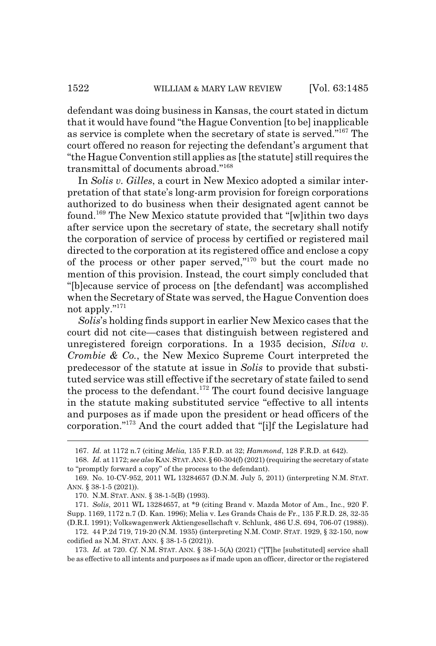defendant was doing business in Kansas, the court stated in dictum that it would have found "the Hague Convention [to be] inapplicable as service is complete when the secretary of state is served."167 The court offered no reason for rejecting the defendant's argument that "the Hague Convention still applies as [the statute] still requires the transmittal of documents abroad."168

In *Solis v. Gilles*, a court in New Mexico adopted a similar interpretation of that state's long-arm provision for foreign corporations authorized to do business when their designated agent cannot be found.169 The New Mexico statute provided that "[w]ithin two days after service upon the secretary of state, the secretary shall notify the corporation of service of process by certified or registered mail directed to the corporation at its registered office and enclose a copy of the process or other paper served,"170 but the court made no mention of this provision. Instead, the court simply concluded that "[b]ecause service of process on [the defendant] was accomplished when the Secretary of State was served, the Hague Convention does not apply."<sup>171</sup>

*Solis*'s holding finds support in earlier New Mexico cases that the court did not cite—cases that distinguish between registered and unregistered foreign corporations. In a 1935 decision, *Silva v. Crombie & Co.*, the New Mexico Supreme Court interpreted the predecessor of the statute at issue in *Solis* to provide that substituted service was still effective if the secretary of state failed to send the process to the defendant.<sup>172</sup> The court found decisive language in the statute making substituted service "effective to all intents and purposes as if made upon the president or head officers of the corporation."173 And the court added that "[i]f the Legislature had

<sup>167.</sup> *Id.* at 1172 n.7 (citing *Melia*, 135 F.R.D. at 32; *Hammond*, 128 F.R.D. at 642).

<sup>168.</sup> *Id.* at 1172; *see also* KAN.STAT.ANN.§ 60-304(f) (2021) (requiring the secretary of state to "promptly forward a copy" of the process to the defendant).

<sup>169.</sup> No. 10-CV-952, 2011 WL 13284657 (D.N.M. July 5, 2011) (interpreting N.M. STAT. ANN. § 38-1-5 (2021)).

<sup>170.</sup> N.M. STAT. ANN. § 38-1-5(B) (1993).

<sup>171.</sup> *Solis*, 2011 WL 13284657, at \*9 (citing Brand v. Mazda Motor of Am., Inc., 920 F. Supp. 1169, 1172 n.7 (D. Kan. 1996); Melia v. Les Grands Chais de Fr., 135 F.R.D. 28, 32-35 (D.R.I. 1991); Volkswagenwerk Aktiengesellschaft v. Schlunk, 486 U.S. 694, 706-07 (1988)).

<sup>172. 44</sup> P.2d 719, 719-20 (N.M. 1935) (interpreting N.M. COMP. STAT. 1929, § 32-150, now codified as N.M. STAT. ANN. § 38-1-5 (2021)).

<sup>173.</sup> *Id.* at 720. *Cf.* N.M. STAT. ANN. § 38-1-5(A) (2021) ("[T]he [substituted] service shall be as effective to all intents and purposes as if made upon an officer, director or the registered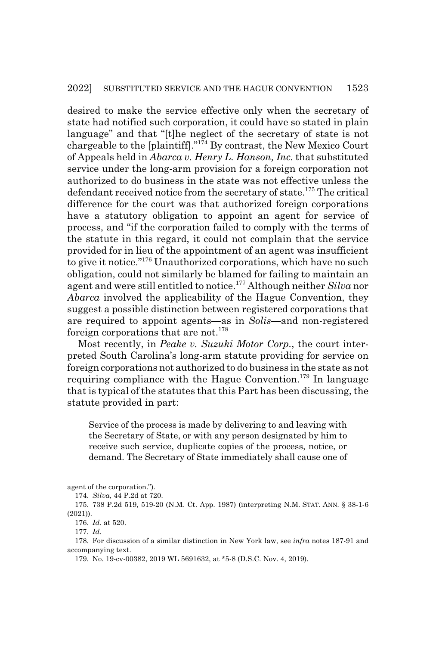desired to make the service effective only when the secretary of state had notified such corporation, it could have so stated in plain language" and that "[t]he neglect of the secretary of state is not chargeable to the [plaintiff]."174 By contrast, the New Mexico Court of Appeals held in *Abarca v. Henry L. Hanson, Inc.* that substituted service under the long-arm provision for a foreign corporation not authorized to do business in the state was not effective unless the defendant received notice from the secretary of state.<sup>175</sup> The critical difference for the court was that authorized foreign corporations have a statutory obligation to appoint an agent for service of process, and "if the corporation failed to comply with the terms of the statute in this regard, it could not complain that the service provided for in lieu of the appointment of an agent was insufficient to give it notice."176 Unauthorized corporations, which have no such obligation, could not similarly be blamed for failing to maintain an agent and were still entitled to notice.177 Although neither *Silva* nor *Abarca* involved the applicability of the Hague Convention, they suggest a possible distinction between registered corporations that are required to appoint agents—as in *Solis*—and non-registered foreign corporations that are not.<sup>178</sup>

Most recently, in *Peake v. Suzuki Motor Corp.*, the court interpreted South Carolina's long-arm statute providing for service on foreign corporations not authorized to do business in the state as not requiring compliance with the Hague Convention.<sup>179</sup> In language that is typical of the statutes that this Part has been discussing, the statute provided in part:

Service of the process is made by delivering to and leaving with the Secretary of State, or with any person designated by him to receive such service, duplicate copies of the process, notice, or demand. The Secretary of State immediately shall cause one of

agent of the corporation.").

<sup>174.</sup> *Silva*, 44 P.2d at 720.

<sup>175. 738</sup> P.2d 519, 519-20 (N.M. Ct. App. 1987) (interpreting N.M. STAT. ANN. § 38-1-6 (2021)).

<sup>176.</sup> *Id.* at 520.

<sup>177.</sup> *Id.*

<sup>178.</sup> For discussion of a similar distinction in New York law, see *infra* notes 187-91 and accompanying text.

<sup>179.</sup> No. 19-cv-00382, 2019 WL 5691632, at \*5-8 (D.S.C. Nov. 4, 2019).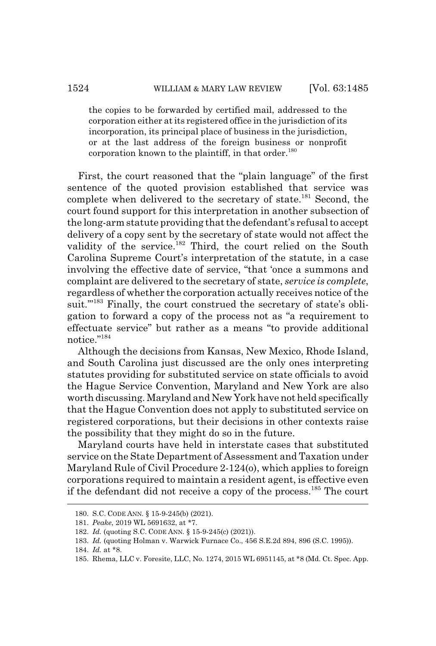the copies to be forwarded by certified mail, addressed to the corporation either at its registered office in the jurisdiction of its incorporation, its principal place of business in the jurisdiction, or at the last address of the foreign business or nonprofit corporation known to the plaintiff, in that order.<sup>180</sup>

First, the court reasoned that the "plain language" of the first sentence of the quoted provision established that service was complete when delivered to the secretary of state.<sup>181</sup> Second, the court found support for this interpretation in another subsection of the long-arm statute providing that the defendant's refusal to accept delivery of a copy sent by the secretary of state would not affect the validity of the service.<sup>182</sup> Third, the court relied on the South Carolina Supreme Court's interpretation of the statute, in a case involving the effective date of service, "that 'once a summons and complaint are delivered to the secretary of state, *service is complete*, regardless of whether the corporation actually receives notice of the suit."<sup>183</sup> Finally, the court construed the secretary of state's obligation to forward a copy of the process not as "a requirement to effectuate service" but rather as a means "to provide additional notice."<sup>184</sup>

Although the decisions from Kansas, New Mexico, Rhode Island, and South Carolina just discussed are the only ones interpreting statutes providing for substituted service on state officials to avoid the Hague Service Convention, Maryland and New York are also worth discussing. Maryland and New York have not held specifically that the Hague Convention does not apply to substituted service on registered corporations, but their decisions in other contexts raise the possibility that they might do so in the future.

Maryland courts have held in interstate cases that substituted service on the State Department of Assessment and Taxation under Maryland Rule of Civil Procedure 2-124(o), which applies to foreign corporations required to maintain a resident agent, is effective even if the defendant did not receive a copy of the process.185 The court

<sup>180.</sup> S.C. CODE ANN. § 15-9-245(b) (2021).

<sup>181.</sup> *Peake*, 2019 WL 5691632, at \*7.

<sup>182.</sup> *Id.* (quoting S.C. CODE ANN. § 15-9-245(c) (2021)).

<sup>183.</sup> *Id.* (quoting Holman v. Warwick Furnace Co., 456 S.E.2d 894, 896 (S.C. 1995)).

<sup>184.</sup> *Id.* at \*8.

<sup>185.</sup> Rhema, LLC v. Foresite, LLC, No. 1274, 2015 WL 6951145, at \*8 (Md. Ct. Spec. App.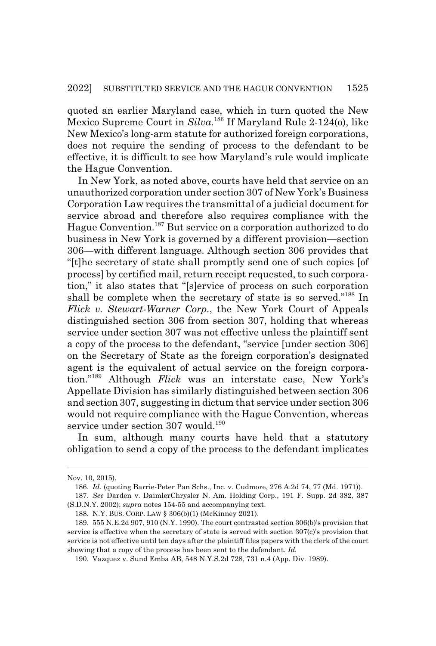quoted an earlier Maryland case, which in turn quoted the New Mexico Supreme Court in *Silva*. 186 If Maryland Rule 2-124(o), like New Mexico's long-arm statute for authorized foreign corporations, does not require the sending of process to the defendant to be effective, it is difficult to see how Maryland's rule would implicate the Hague Convention.

In New York, as noted above, courts have held that service on an unauthorized corporation under section 307 of New York's Business Corporation Law requires the transmittal of a judicial document for service abroad and therefore also requires compliance with the Hague Convention.187 But service on a corporation authorized to do business in New York is governed by a different provision—section 306—with different language. Although section 306 provides that "[t]he secretary of state shall promptly send one of such copies [of process] by certified mail, return receipt requested, to such corporation," it also states that "[s]ervice of process on such corporation shall be complete when the secretary of state is so served."<sup>188</sup> In *Flick v. Stewart-Warner Corp.*, the New York Court of Appeals distinguished section 306 from section 307, holding that whereas service under section 307 was not effective unless the plaintiff sent a copy of the process to the defendant, "service [under section 306] on the Secretary of State as the foreign corporation's designated agent is the equivalent of actual service on the foreign corporation."189 Although *Flick* was an interstate case, New York's Appellate Division has similarly distinguished between section 306 and section 307, suggesting in dictum that service under section 306 would not require compliance with the Hague Convention, whereas service under section  $307$  would.<sup>190</sup>

In sum, although many courts have held that a statutory obligation to send a copy of the process to the defendant implicates

Nov. 10, 2015).

<sup>186.</sup> *Id.* (quoting Barrie-Peter Pan Schs., Inc. v. Cudmore, 276 A.2d 74, 77 (Md. 1971)).

<sup>187.</sup> *See* Darden v. DaimlerChrysler N. Am. Holding Corp., 191 F. Supp. 2d 382, 387 (S.D.N.Y. 2002); *supra* notes 154-55 and accompanying text.

<sup>188.</sup> N.Y. BUS. CORP. LAW § 306(b)(1) (McKinney 2021).

<sup>189. 555</sup> N.E.2d 907, 910 (N.Y. 1990). The court contrasted section 306(b)'s provision that service is effective when the secretary of state is served with section 307(c)'s provision that service is not effective until ten days after the plaintiff files papers with the clerk of the court showing that a copy of the process has been sent to the defendant. *Id.*

<sup>190.</sup> Vazquez v. Sund Emba AB, 548 N.Y.S.2d 728, 731 n.4 (App. Div. 1989).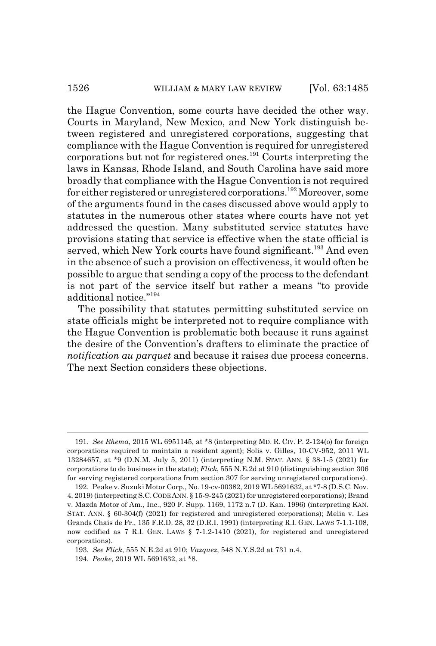the Hague Convention, some courts have decided the other way. Courts in Maryland, New Mexico, and New York distinguish between registered and unregistered corporations, suggesting that compliance with the Hague Convention is required for unregistered corporations but not for registered ones.191 Courts interpreting the laws in Kansas, Rhode Island, and South Carolina have said more broadly that compliance with the Hague Convention is not required for either registered or unregistered corporations.<sup>192</sup> Moreover, some of the arguments found in the cases discussed above would apply to statutes in the numerous other states where courts have not yet addressed the question. Many substituted service statutes have provisions stating that service is effective when the state official is served, which New York courts have found significant.<sup>193</sup> And even in the absence of such a provision on effectiveness, it would often be possible to argue that sending a copy of the process to the defendant is not part of the service itself but rather a means "to provide additional notice."194

The possibility that statutes permitting substituted service on state officials might be interpreted not to require compliance with the Hague Convention is problematic both because it runs against the desire of the Convention's drafters to eliminate the practice of *notification au parquet* and because it raises due process concerns. The next Section considers these objections.

193. *See Flick*, 555 N.E.2d at 910; *Vazquez*, 548 N.Y.S.2d at 731 n.4.

<sup>191.</sup> *See Rhema*, 2015 WL 6951145, at \*8 (interpreting MD. R. CIV. P. 2-124(o) for foreign corporations required to maintain a resident agent); Solis v. Gilles, 10-CV-952, 2011 WL 13284657, at \*9 (D.N.M. July 5, 2011) (interpreting N.M. STAT. ANN. § 38-1-5 (2021) for corporations to do business in the state); *Flick*, 555 N.E.2d at 910 (distinguishing section 306 for serving registered corporations from section 307 for serving unregistered corporations).

<sup>192.</sup> Peake v. Suzuki Motor Corp., No. 19-cv-00382, 2019 WL 5691632, at \*7-8 (D.S.C. Nov. 4, 2019) (interpreting S.C.CODE ANN. § 15-9-245 (2021) for unregistered corporations); Brand v. Mazda Motor of Am., Inc., 920 F. Supp. 1169, 1172 n.7 (D. Kan. 1996) (interpreting KAN. STAT. ANN. § 60-304(f) (2021) for registered and unregistered corporations); Melia v. Les Grands Chais de Fr., 135 F.R.D. 28, 32 (D.R.I. 1991) (interpreting R.I. GEN. LAWS 7-1.1-108, now codified as 7 R.I. GEN. LAWS § 7-1.2-1410 (2021), for registered and unregistered corporations).

<sup>194.</sup> *Peake*, 2019 WL 5691632, at \*8.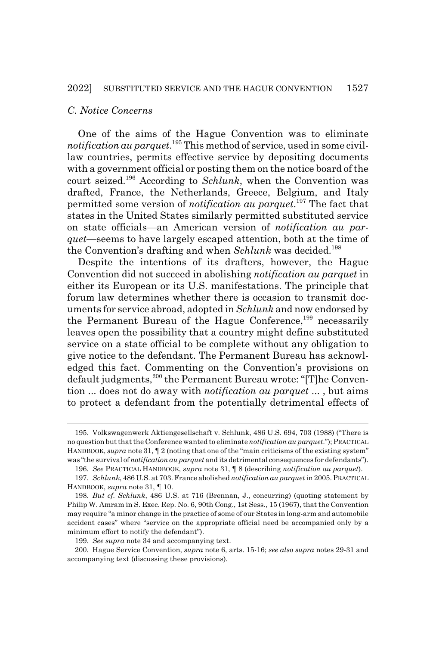### *C. Notice Concerns*

One of the aims of the Hague Convention was to eliminate *notification au parquet*. 195 This method of service, used in some civillaw countries, permits effective service by depositing documents with a government official or posting them on the notice board of the court seized.196 According to *Schlunk*, when the Convention was drafted, France, the Netherlands, Greece, Belgium, and Italy permitted some version of *notification au parquet*. 197 The fact that states in the United States similarly permitted substituted service on state officials—an American version of *notification au parquet*—seems to have largely escaped attention, both at the time of the Convention's drafting and when *Schlunk* was decided.<sup>198</sup>

Despite the intentions of its drafters, however, the Hague Convention did not succeed in abolishing *notification au parquet* in either its European or its U.S. manifestations. The principle that forum law determines whether there is occasion to transmit documents for service abroad, adopted in *Schlunk* and now endorsed by the Permanent Bureau of the Hague Conference,<sup>199</sup> necessarily leaves open the possibility that a country might define substituted service on a state official to be complete without any obligation to give notice to the defendant. The Permanent Bureau has acknowledged this fact. Commenting on the Convention's provisions on default judgments,<sup>200</sup> the Permanent Bureau wrote: "[T]he Convention ... does not do away with *notification au parquet* ... , but aims to protect a defendant from the potentially detrimental effects of

<sup>195.</sup> Volkswagenwerk Aktiengesellschaft v. Schlunk, 486 U.S. 694, 703 (1988) ("There is no question but that the Conference wanted to eliminate *notification au parquet*."); PRACTICAL HANDBOOK, *supra* note 31,  $\P$  2 (noting that one of the "main criticisms of the existing system" was "the survival of *notification au parquet* and its detrimental consequences for defendants").

<sup>196.</sup> *See* PRACTICAL HANDBOOK, *supra* note 31, ¶ 8 (describing *notification au parquet*). 197. *Schlunk*, 486 U.S. at 703. France abolished *notification au parquet* in 2005. PRACTICAL

HANDBOOK, *supra* note 31, ¶ 10.

<sup>198.</sup> *But cf. Schlunk*, 486 U.S. at 716 (Brennan, J., concurring) (quoting statement by Philip W. Amram in S. Exec. Rep. No. 6, 90th Cong., 1st Sess., 15 (1967), that the Convention may require "a minor change in the practice of some of our States in long-arm and automobile accident cases" where "service on the appropriate official need be accompanied only by a minimum effort to notify the defendant").

<sup>199.</sup> *See supra* note 34 and accompanying text.

<sup>200.</sup> Hague Service Convention, *supra* note 6, arts. 15-16; *see also supra* notes 29-31 and accompanying text (discussing these provisions).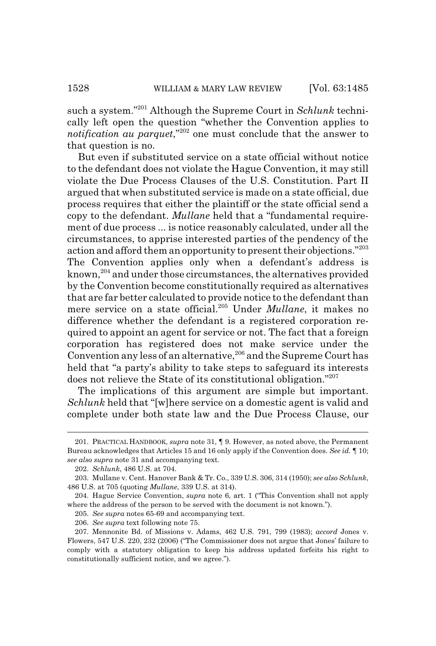such a system."201 Although the Supreme Court in *Schlunk* technically left open the question "whether the Convention applies to *notification au parquet*,"202 one must conclude that the answer to that question is no.

But even if substituted service on a state official without notice to the defendant does not violate the Hague Convention, it may still violate the Due Process Clauses of the U.S. Constitution. Part II argued that when substituted service is made on a state official, due process requires that either the plaintiff or the state official send a copy to the defendant. *Mullane* held that a "fundamental requirement of due process ... is notice reasonably calculated, under all the circumstances, to apprise interested parties of the pendency of the action and afford them an opportunity to present their objections."<sup>203</sup> The Convention applies only when a defendant's address is known,204 and under those circumstances, the alternatives provided by the Convention become constitutionally required as alternatives that are far better calculated to provide notice to the defendant than mere service on a state official.205 Under *Mullane*, it makes no difference whether the defendant is a registered corporation required to appoint an agent for service or not. The fact that a foreign corporation has registered does not make service under the Convention any less of an alternative,<sup>206</sup> and the Supreme Court has held that "a party's ability to take steps to safeguard its interests does not relieve the State of its constitutional obligation."207

The implications of this argument are simple but important. *Schlunk* held that "[w]here service on a domestic agent is valid and complete under both state law and the Due Process Clause, our

<sup>201.</sup> PRACTICAL HANDBOOK, *supra* note 31, ¶ 9. However, as noted above, the Permanent Bureau acknowledges that Articles 15 and 16 only apply if the Convention does. *See id.* ¶ 10; *see also supra* note 31 and accompanying text.

<sup>202.</sup> *Schlunk*, 486 U.S. at 704.

<sup>203.</sup> Mullane v. Cent. Hanover Bank & Tr. Co., 339 U.S. 306, 314 (1950); *see also Schlunk*, 486 U.S. at 705 (quoting *Mullane*, 339 U.S. at 314).

<sup>204.</sup> Hague Service Convention, *supra* note 6, art. 1 ("This Convention shall not apply where the address of the person to be served with the document is not known.").

<sup>205.</sup> *See supra* notes 65-69 and accompanying text.

<sup>206.</sup> *See supra* text following note 75.

<sup>207.</sup> Mennonite Bd. of Missions v. Adams, 462 U.S. 791, 799 (1983); *accord* Jones v. Flowers, 547 U.S. 220, 232 (2006) ("The Commissioner does not argue that Jones' failure to comply with a statutory obligation to keep his address updated forfeits his right to constitutionally sufficient notice, and we agree.").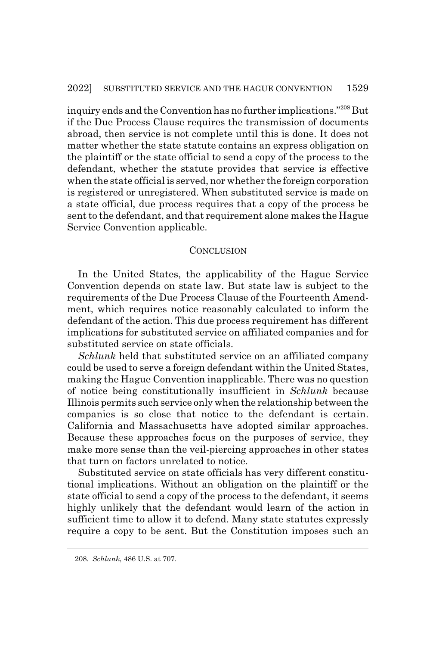inquiry ends and the Convention has no further implications."208 But if the Due Process Clause requires the transmission of documents abroad, then service is not complete until this is done. It does not matter whether the state statute contains an express obligation on the plaintiff or the state official to send a copy of the process to the defendant, whether the statute provides that service is effective when the state official is served, nor whether the foreign corporation is registered or unregistered. When substituted service is made on a state official, due process requires that a copy of the process be sent to the defendant, and that requirement alone makes the Hague Service Convention applicable.

### **CONCLUSION**

In the United States, the applicability of the Hague Service Convention depends on state law. But state law is subject to the requirements of the Due Process Clause of the Fourteenth Amendment, which requires notice reasonably calculated to inform the defendant of the action. This due process requirement has different implications for substituted service on affiliated companies and for substituted service on state officials.

*Schlunk* held that substituted service on an affiliated company could be used to serve a foreign defendant within the United States, making the Hague Convention inapplicable. There was no question of notice being constitutionally insufficient in *Schlunk* because Illinois permits such service only when the relationship between the companies is so close that notice to the defendant is certain. California and Massachusetts have adopted similar approaches. Because these approaches focus on the purposes of service, they make more sense than the veil-piercing approaches in other states that turn on factors unrelated to notice.

Substituted service on state officials has very different constitutional implications. Without an obligation on the plaintiff or the state official to send a copy of the process to the defendant, it seems highly unlikely that the defendant would learn of the action in sufficient time to allow it to defend. Many state statutes expressly require a copy to be sent. But the Constitution imposes such an

<sup>208.</sup> *Schlunk*, 486 U.S. at 707.